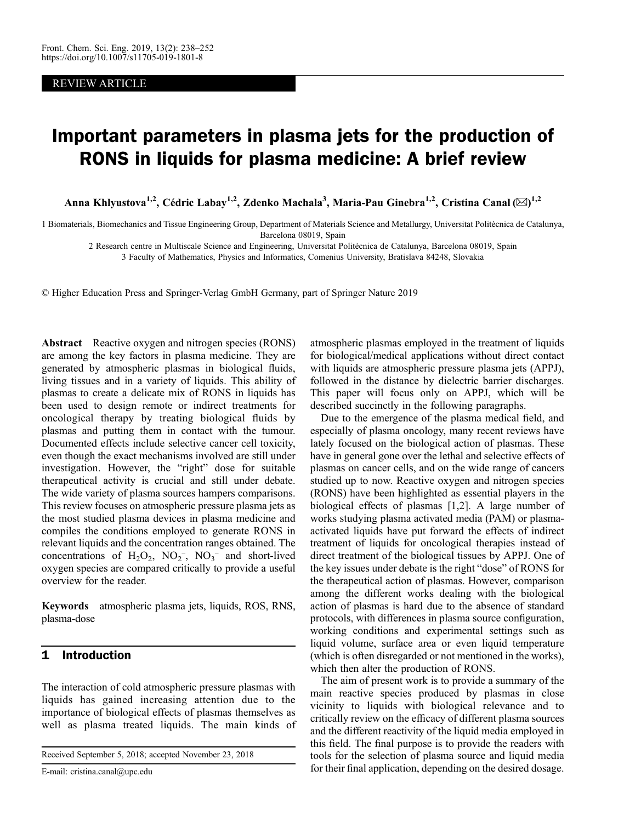## REVIEW ARTICLE

# Important parameters in plasma jets for the production of RONS in liquids for plasma medicine: A brief review

Anna Khlyustova<sup>1,2</sup>, Cédric Labay<sup>1,2</sup>, Zdenko Machala<sup>3</sup>, Maria-Pau Ginebra<sup>1,2</sup>, Cristina Canal (⊠)<sup>1,2</sup>

1 Biomaterials, Biomechanics and Tissue Engineering Group, Department of Materials Science and Metallurgy, Universitat Politècnica de Catalunya, Barcelona 08019, Spain

2 Research centre in Multiscale Science and Engineering, Universitat Politècnica de Catalunya, Barcelona 08019, Spain

3 Faculty of Mathematics, Physics and Informatics, Comenius University, Bratislava 84248, Slovakia

© Higher Education Press and Springer-Verlag GmbH Germany, part of Springer Nature 2019

Abstract Reactive oxygen and nitrogen species (RONS) are among the key factors in plasma medicine. They are generated by atmospheric plasmas in biological fluids, living tissues and in a variety of liquids. This ability of plasmas to create a delicate mix of RONS in liquids has been used to design remote or indirect treatments for oncological therapy by treating biological fluids by plasmas and putting them in contact with the tumour. Documented effects include selective cancer cell toxicity, even though the exact mechanisms involved are still under investigation. However, the "right" dose for suitable therapeutical activity is crucial and still under debate. The wide variety of plasma sources hampers comparisons. This review focuses on atmospheric pressure plasma jets as the most studied plasma devices in plasma medicine and compiles the conditions employed to generate RONS in relevant liquids and the concentration ranges obtained. The concentrations of  $H_2O_2$ ,  $NO_2^-$ ,  $NO_3^-$  and short-lived oxygen species are compared critically to provide a useful overview for the reader.

Keywords atmospheric plasma jets, liquids, ROS, RNS, plasma-dose

# 1 Introduction

The interaction of cold atmospheric pressure plasmas with liquids has gained increasing attention due to the importance of biological effects of plasmas themselves as well as plasma treated liquids. The main kinds of

Received September 5, 2018; accepted November 23, 2018

E-mail: cristina.canal@upc.edu

atmospheric plasmas employed in the treatment of liquids for biological/medical applications without direct contact with liquids are atmospheric pressure plasma jets (APPJ), followed in the distance by dielectric barrier discharges. This paper will focus only on APPJ, which will be described succinctly in the following paragraphs.

Due to the emergence of the plasma medical field, and especially of plasma oncology, many recent reviews have lately focused on the biological action of plasmas. These have in general gone over the lethal and selective effects of plasmas on cancer cells, and on the wide range of cancers studied up to now. Reactive oxygen and nitrogen species (RONS) have been highlighted as essential players in the biological effects of plasmas [[1,2\]](#page-11-0). A large number of works studying plasma activated media (PAM) or plasmaactivated liquids have put forward the effects of indirect treatment of liquids for oncological therapies instead of direct treatment of the biological tissues by APPJ. One of the key issues under debate is the right "dose" of RONS for the therapeutical action of plasmas. However, comparison among the different works dealing with the biological action of plasmas is hard due to the absence of standard protocols, with differences in plasma source configuration, working conditions and experimental settings such as liquid volume, surface area or even liquid temperature (which is often disregarded or not mentioned in the works), which then alter the production of RONS.

The aim of present work is to provide a summary of the main reactive species produced by plasmas in close vicinity to liquids with biological relevance and to critically review on the efficacy of different plasma sources and the different reactivity of the liquid media employed in this field. The final purpose is to provide the readers with tools for the selection of plasma source and liquid media for their final application, depending on the desired dosage.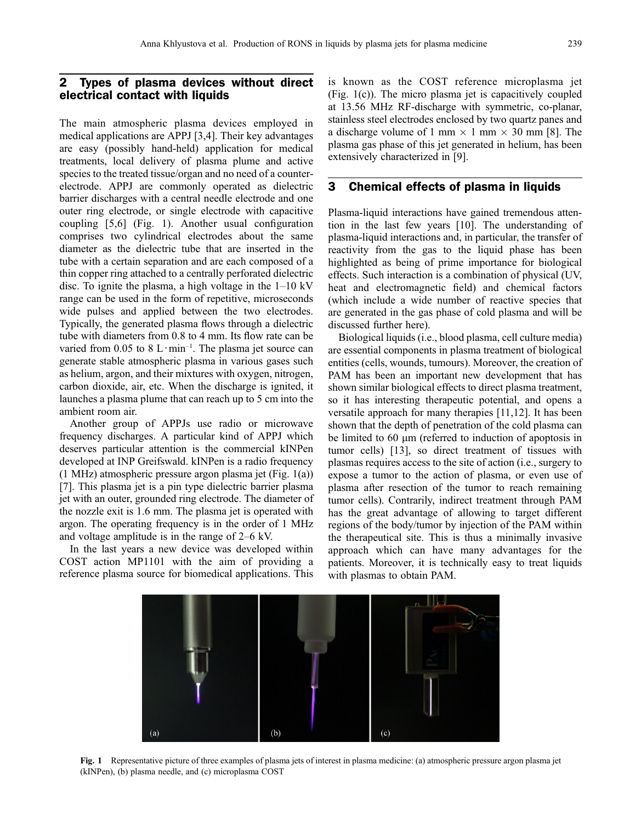# 2 Types of plasma devices without direct electrical contact with liquids

The main atmospheric plasma devices employed in medical applications are APPJ [[3,4\]](#page-11-0). Their key advantages are easy (possibly hand-held) application for medical treatments, local delivery of plasma plume and active species to the treated tissue/organ and no need of a counterelectrode. APPJ are commonly operated as dielectric barrier discharges with a central needle electrode and one outer ring electrode, or single electrode with capacitive coupling [[5](#page-12-0),[6](#page-12-0)] (Fig. 1). Another usual configuration comprises two cylindrical electrodes about the same diameter as the dielectric tube that are inserted in the tube with a certain separation and are each composed of a thin copper ring attached to a centrally perforated dielectric disc. To ignite the plasma, a high voltage in the  $1-10$  kV range can be used in the form of repetitive, microseconds wide pulses and applied between the two electrodes. Typically, the generated plasma flows through a dielectric tube with diameters from 0.8 to 4 mm. Its flow rate can be varied from 0.05 to 8 L⋅min<sup>-1</sup>. The plasma jet source can generate stable atmospheric plasma in various gases such as helium, argon, and their mixtures with oxygen, nitrogen, carbon dioxide, air, etc. When the discharge is ignited, it launches a plasma plume that can reach up to 5 cm into the ambient room air.

Another group of APPJs use radio or microwave frequency discharges. A particular kind of APPJ which deserves particular attention is the commercial kINPen developed at INP Greifswald. kINPen is a radio frequency (1 MHz) atmospheric pressure argon plasma jet (Fig. 1(a)) [\[7](#page-12-0)]. This plasma jet is a pin type dielectric barrier plasma jet with an outer, grounded ring electrode. The diameter of the nozzle exit is 1.6 mm. The plasma jet is operated with argon. The operating frequency is in the order of 1 MHz and voltage amplitude is in the range of 2–6 kV.

In the last years a new device was developed within COST action MP1101 with the aim of providing a reference plasma source for biomedical applications. This

is known as the COST reference microplasma jet (Fig. 1(c)). The micro plasma jet is capacitively coupled at 13.56 MHz RF-discharge with symmetric, co-planar, stainless steel electrodes enclosed by two quartz panes and a discharge volume of 1 mm  $\times$  1 mm  $\times$  30 mm [\[8](#page-12-0)]. The plasma gas phase of this jet generated in helium, has been extensively characterized in [\[9](#page-12-0)].

## 3 Chemical effects of plasma in liquids

Plasma-liquid interactions have gained tremendous attention in the last few years [[10](#page-12-0)]. The understanding of plasma-liquid interactions and, in particular, the transfer of reactivity from the gas to the liquid phase has been highlighted as being of prime importance for biological effects. Such interaction is a combination of physical (UV, heat and electromagnetic field) and chemical factors (which include a wide number of reactive species that are generated in the gas phase of cold plasma and will be discussed further here).

Biological liquids (i.e., blood plasma, cell culture media) are essential components in plasma treatment of biological entities (cells, wounds, tumours). Moreover, the creation of PAM has been an important new development that has shown similar biological effects to direct plasma treatment, so it has interesting therapeutic potential, and opens a versatile approach for many therapies [\[11,12\]](#page-12-0). It has been shown that the depth of penetration of the cold plasma can be limited to  $60 \mu m$  (referred to induction of apoptosis in tumor cells) [[13](#page-12-0)], so direct treatment of tissues with plasmas requires access to the site of action (i.e., surgery to expose a tumor to the action of plasma, or even use of plasma after resection of the tumor to reach remaining tumor cells). Contrarily, indirect treatment through PAM has the great advantage of allowing to target different regions of the body/tumor by injection of the PAM within the therapeutical site. This is thus a minimally invasive approach which can have many advantages for the patients. Moreover, it is technically easy to treat liquids with plasmas to obtain PAM.



Fig. 1 Representative picture of three examples of plasma jets of interest in plasma medicine: (a) atmospheric pressure argon plasma jet (kINPen), (b) plasma needle, and (c) microplasma COST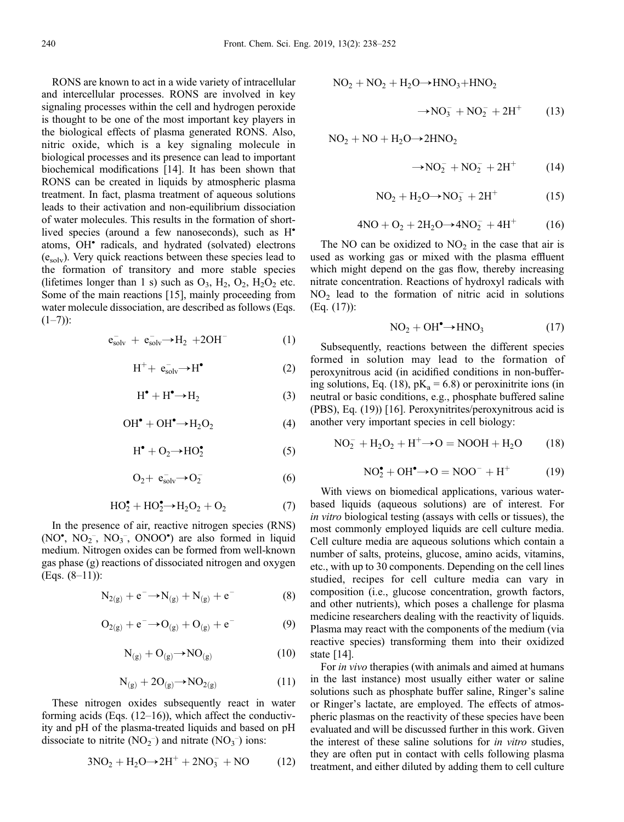RONS are known to act in a wide variety of intracellular and intercellular processes. RONS are involved in key signaling processes within the cell and hydrogen peroxide is thought to be one of the most important key players in the biological effects of plasma generated RONS. Also, nitric oxide, which is a key signaling molecule in biological processes and its presence can lead to important biochemical modifications [\[14\]](#page-12-0). It has been shown that RONS can be created in liquids by atmospheric plasma treatment. In fact, plasma treatment of aqueous solutions leads to their activation and non-equilibrium dissociation of water molecules. This results in the formation of shortlived species (around a few nanoseconds), such as H<sup>•</sup> atoms, OH<sup>•</sup> radicals, and hydrated (solvated) electrons  $(e_{solv})$ . Very quick reactions between these species lead to the formation of transitory and more stable species (lifetimes longer than 1 s) such as  $O_3$ ,  $H_2$ ,  $O_2$ ,  $H_2O_2$  etc. Some of the main reactions [\[15\]](#page-12-0), mainly proceeding from water molecule dissociation, are described as follows (Eqs.  $(1-7)$ : ons between these species lead to<br>iitory and more stable species<br>s) such as  $O_3$ ,  $H_2$ ,  $O_2$ ,  $H_2O_2$  etc.<br>ons [15], mainly proceeding from<br>ion, are described as follows (Eqs.<br> $\overline{S_{\text{solv}}} \rightarrow H_2 + 2OH^-$  (1) uch as  $O_3$ ,  $H_2$ ,  $O_2$ ,  $H_2O_2$  etc.<br>[15], mainly proceeding from<br>are described as follows (Eqs.<br> $\rightarrow H_2 + 2OH^-$  (1)<br> $\overline{s}_{\text{olv}} \rightarrow H^{\bullet}$  (2) e described as follows (Eqs.<br>  $H_2 + 2OH^-$  (1)<br>  $v \rightarrow H^{\bullet}$  (2)<br>  $\rightarrow H_2$  (3)

$$
\mathbf{e}_{\text{solv}}^- + \mathbf{e}_{\text{solv}}^- \rightarrow \mathbf{H}_2 + 2\mathbf{OH}^- \tag{1}
$$

$$
+ e_{solv}^{-} \rightarrow H_2 + 2OH^{-}
$$
 (1)  
\n
$$
H^{+} + e_{solv}^{-} \rightarrow H^{*}
$$
 (2)  
\n
$$
H^{*} + H^{*} \rightarrow H_2
$$
 (3)  
\n
$$
H^{*} + OH^{*} \rightarrow H_2O_2
$$
 (4)  
\n
$$
H^{*} + O_2 \rightarrow HO_2^{*}
$$
 (5)

$$
H^{\bullet} + H^{\bullet} \rightarrow H_2
$$
 (3)  

$$
H^{\bullet} + OH^{\bullet} \rightarrow H_2O_2
$$
 (4)  

$$
H^{\bullet} + O_2 \rightarrow HO_2^{\bullet}
$$
 (5)  

$$
O_2 + e_{solv}^{-} \rightarrow O_2^{-}
$$
 (6)

$$
OH^{\bullet} + OH^{\bullet} \rightarrow H_2O_2 \tag{4}
$$
  
\n
$$
H^{\bullet} + O_2 \rightarrow HO_2^{\bullet} \tag{5}
$$
  
\n
$$
O_2 + e_{solv} \rightarrow O_2^- \tag{6}
$$
  
\n
$$
O_2^{\bullet} + HO_2^{\bullet} \rightarrow H_2O_2 + O_2 \tag{7}
$$

$$
H^{\bullet} + O_2 \rightarrow HO_2^{\bullet} \tag{5}
$$

$$
O_2 + e_{\text{solv}}^- \rightarrow O_2^- \tag{6}
$$

$$
HO_2^{\bullet} + HO_2^{\bullet} \rightarrow H_2O_2 + O_2 \tag{7}
$$

In the presence of air, reactive nitrogen species (RNS) (NO<sup>•</sup>, NO<sub>2</sub><sup>-</sup>, NO<sub>3</sub><sup>-</sup>, ONOO<sup>•</sup>) are also formed in liquid medium. Nitrogen oxides can be formed from well-known gas phase (g) reactions of dissociated nitrogen and oxygen (Eqs. (8–11)):  $\text{HO}_2 + \text{HO}_2 \rightarrow \text{H}_2\text{O}_2 + \text{O}_2$  (*i*)<br>ence of air, reactive nitrogen species (RNS)<br>NO<sub>3</sub><sup>-</sup>, ONOO<sup>•</sup>) are also formed in liquid<br>ogen oxides can be formed from well-known<br>reactions of dissociated nitrogen and oxygen<br>: NO<sub>3</sub><sup>-</sup>, ONOO<sup>•</sup>) are also formed in liquid<br>ogen oxides can be formed from well-known<br>reactions of dissociated nitrogen and oxygen<br>:<br> $N_{2(g)} + e^- \rightarrow N_{(g)} + N_{(g)} + e^-$  (8)<br> $O_{2(g)} + e^- \rightarrow O_{(g)} + O_{(g)} + e^-$  (9)  $+e^- \rightarrow N_{(g)} + N_{(g)} + e^-$  (8)<br>  $+e^- \rightarrow N_{(g)} + O_{(g)} + e^-$  (8)<br>  $+e^- \rightarrow O_{(g)} + O_{(g)} + e^-$  (9)<br>  $N_{(g)} + O_{(g)} \rightarrow NO_{(g)}$  (10)

$$
N_{2(g)} + e^- \rightarrow N_{(g)} + N_{(g)} + e^-
$$
 (8)

$$
N_{2(g)} + e^{-} \rightarrow N_{(g)} + N_{(g)} + e^{-}
$$
\n
$$
O_{2(g)} + e^{-} \rightarrow O_{(g)} + O_{(g)} + e^{-}
$$
\n
$$
N_{(g)} + O_{(g)} \rightarrow NO_{(g)}
$$
\n
$$
N_{(g)} + 2O_{(g)} \rightarrow NO_{2(g)}
$$
\n(10)\n
$$
N_{(g)} + 2O_{(g)} \rightarrow NO_{2(g)}
$$
\n(11)

$$
N_{(g)} + O_{(g)} {\rightarrow} N O_{(g)} \qquad \qquad (10)
$$

$$
N_{(g)} + 2O_{(g)} \rightarrow NO_{2(g)} \tag{11}
$$

These nitrogen oxides subsequently react in water forming acids (Eqs.  $(12–16)$ ), which affect the conductivity and pH of the plasma-treated liquids and based on pH dissociate to nitrite  $(NO<sub>2</sub><sup>-</sup>)$  and nitrate  $(NO<sub>3</sub><sup>-</sup>)$  ions:  $N_{(g)} + 2O_{(g)} \rightarrow NO_{2(g)}$ <br>
iitrogen oxides subsequently<br>
iids (Eqs. (12–16)), which affects<br>
of the plasma-treated liquids<br>
to nitrite (NO<sub>2</sub><sup>-</sup>) and nitrate (NO<sub>2</sub><sup>-</sup>) and nitrate (NO<sub>3</sub><sup>-</sup>)

$$
3NO2 + H2O \rightarrow 2H+ + 2NO3- + NO \t(12)
$$

NO2 <sup>þ</sup> NO2 <sup>þ</sup> H2O↕ <sup>↓</sup>HNO3þHNO2

$$
O \rightarrow HNO3 + HNO2
$$
  

$$
\rightarrow NO3- + NO2- + 2H+
$$
 (13)

 $NO<sub>2</sub> + NO<sub>2</sub> + H<sub>2</sub>O \rightarrow HNO<sub>3</sub>$ <br>  $\rightarrow NO<sub>3</sub>$ <br>  $NO<sub>2</sub> + NO + H<sub>2</sub>O \rightarrow 2HNO<sub>2</sub>$ 

$$
O → HNO3 + HNO2
$$
  
\n
$$
→ NO3- + NO2- + 2H+
$$
 (13)  
\n
$$
→ 2HNO2
$$
  
\n
$$
→ NO2- + NO2- + 2H+
$$
 (14)

$$
\rightarrow NO_3^- + NO_2^- + 2H^+ \qquad (13)
$$
  
\n
$$
D + H_2O \rightarrow 2HNO_2
$$
  
\n
$$
\rightarrow NO_2^- + NO_2^- + 2H^+ \qquad (14)
$$
  
\n
$$
NO_2 + H_2O \rightarrow NO_3^- + 2H^+ \qquad (15)
$$

$$
-NO + H_2O \to 2HNO_2
$$
  
\n
$$
\to NO_2^- + NO_2^- + 2H^+ \qquad (14)
$$
  
\n
$$
NO_2 + H_2O \to NO_3^- + 2H^+ \qquad (15)
$$
  
\n
$$
4NO + O_2 + 2H_2O \to 4NO_2^- + 4H^+ \qquad (16)
$$

The NO can be oxidized to NO<sub>2</sub> in the case that air is<br>
ed as working gas or mixed with the plasma effluent<br>
iich might depend on the gas flow, thereby increasing<br>
trate concentration. Reactions of hydroxyl radicals with used as working gas or mixed with the plasma effluent which might depend on the gas flow, thereby increasing nitrate concentration. Reactions of hydroxyl radicals with  $NO<sub>2</sub>$  lead to the formation of nitric acid in solutions (Eq. (17)):

$$
NO2 + OH• \to HNO3
$$
 (17)

Subsequently, reactions between the different species formed in solution may lead to the formation of peroxynitrous acid (in acidified conditions in non-buffering solutions, Eq. (18),  $pK_a = 6.8$ ) or peroxinitrite ions (in neutral or basic conditions, e.g., phosphate buffered saline (PBS), Eq. (19)) [[16](#page-12-0)]. Peroxynitrites/peroxynitrous acid is another very important species in cell biology: in solution may lead to the formation of<br>trous acid (in acidified conditions in non-buffer-<br>ions, Eq. (18), pK<sub>a</sub> = 6.8) or peroxinitrite ions (in<br>r basic conditions, e.g., phosphate buffered saline<br>q. (19)) [16]. Peroxyn  $bK_a$  = 6.8) or peroxinitrite ions (in<br>ns, e.g., phosphate buffered saline<br>eroxynitrites/peroxynitrous acid is<br>pecies in cell biology:<br> $+$ →O = NOOH + H<sub>2</sub>O (18)<br>→O = NOO<sup>-</sup> + H<sup>+</sup> (19)

$$
NO2- + H2O2 + H+\rightarrow O = NOOH + H2O
$$
 (18)

$$
NO2• + OH• \rightarrow O = NOO- + H+
$$
 (19)

With views on biomedical applications, various waterbased liquids (aqueous solutions) are of interest. For in vitro biological testing (assays with cells or tissues), the most commonly employed liquids are cell culture media. Cell culture media are aqueous solutions which contain a number of salts, proteins, glucose, amino acids, vitamins, etc., with up to 30 components. Depending on the cell lines studied, recipes for cell culture media can vary in composition (i.e., glucose concentration, growth factors, and other nutrients), which poses a challenge for plasma medicine researchers dealing with the reactivity of liquids. Plasma may react with the components of the medium (via reactive species) transforming them into their oxidized state [[14](#page-12-0)].

For in vivo therapies (with animals and aimed at humans in the last instance) most usually either water or saline solutions such as phosphate buffer saline, Ringer's saline or Ringer's lactate, are employed. The effects of atmospheric plasmas on the reactivity of these species have been evaluated and will be discussed further in this work. Given the interest of these saline solutions for *in vitro* studies, they are often put in contact with cells following plasma treatment, and either diluted by adding them to cell culture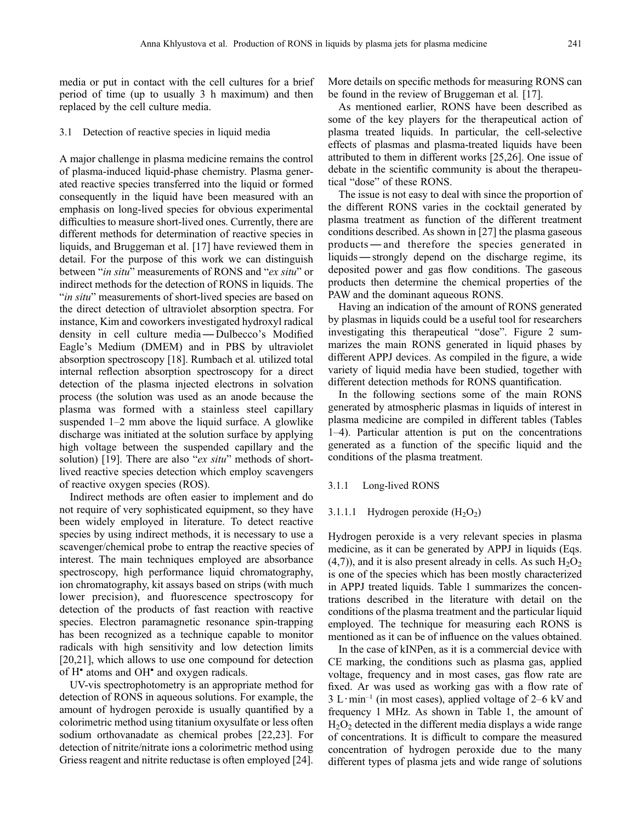media or put in contact with the cell cultures for a brief period of time (up to usually 3 h maximum) and then replaced by the cell culture media.

#### 3.1 Detection of reactive species in liquid media

A major challenge in plasma medicine remains the control of plasma-induced liquid-phase chemistry. Plasma generated reactive species transferred into the liquid or formed consequently in the liquid have been measured with an emphasis on long-lived species for obvious experimental difficulties to measure short-lived ones. Currently, there are different methods for determination of reactive species in liquids, and Bruggeman et al. [[17](#page-12-0)] have reviewed them in detail. For the purpose of this work we can distinguish between "in situ" measurements of RONS and "ex situ" or indirect methods for the detection of RONS in liquids. The "*in situ*" measurements of short-lived species are based on the direct detection of ultraviolet absorption spectra. For instance, Kim and coworkers investigated hydroxyl radical density in cell culture media — Dulbecco's Modified Eagle's Medium (DMEM) and in PBS by ultraviolet absorption spectroscopy [\[18\]](#page-12-0). Rumbach et al. utilized total internal reflection absorption spectroscopy for a direct detection of the plasma injected electrons in solvation process (the solution was used as an anode because the plasma was formed with a stainless steel capillary suspended 1–2 mm above the liquid surface. A glowlike discharge was initiated at the solution surface by applying high voltage between the suspended capillary and the solution) [\[19\]](#page-12-0). There are also "*ex situ*" methods of shortlived reactive species detection which employ scavengers of reactive oxygen species (ROS).

Indirect methods are often easier to implement and do not require of very sophisticated equipment, so they have been widely employed in literature. To detect reactive species by using indirect methods, it is necessary to use a scavenger/chemical probe to entrap the reactive species of interest. The main techniques employed are absorbance spectroscopy, high performance liquid chromatography, ion chromatography, kit assays based on strips (with much lower precision), and fluorescence spectroscopy for detection of the products of fast reaction with reactive species. Electron paramagnetic resonance spin-trapping has been recognized as a technique capable to monitor radicals with high sensitivity and low detection limits [\[20,21\]](#page-12-0), which allows to use one compound for detection of  $H^{\bullet}$  atoms and OH $^{\bullet}$  and oxygen radicals.

UV-vis spectrophotometry is an appropriate method for detection of RONS in aqueous solutions. For example, the amount of hydrogen peroxide is usually quantified by a colorimetric method using titanium oxysulfate or less often sodium orthovanadate as chemical probes [[22](#page-12-0),[23](#page-12-0)]. For detection of nitrite/nitrate ions a colorimetric method using Griess reagent and nitrite reductase is often employed [[24](#page-12-0)].

More details on specific methods for measuring RONS can be found in the review of Bruggeman et al. [\[17\]](#page-12-0).

As mentioned earlier, RONS have been described as some of the key players for the therapeutical action of plasma treated liquids. In particular, the cell-selective effects of plasmas and plasma-treated liquids have been attributed to them in different works [[25](#page-12-0),[26](#page-12-0)]. One issue of debate in the scientific community is about the therapeutical "dose" of these RONS.

The issue is not easy to deal with since the proportion of the different RONS varies in the cocktail generated by plasma treatment as function of the different treatment conditions described. As shown in [\[27\]](#page-12-0) the plasma gaseous products — and therefore the species generated in liquids —strongly depend on the discharge regime, its deposited power and gas flow conditions. The gaseous products then determine the chemical properties of the PAW and the dominant aqueous RONS.

Having an indication of the amount of RONS generated by plasmas in liquids could be a useful tool for researchers investigating this therapeutical "dose". Figure 2 summarizes the main RONS generated in liquid phases by different APPJ devices. As compiled in the figure, a wide variety of liquid media have been studied, together with different detection methods for RONS quantification.

In the following sections some of the main RONS generated by atmospheric plasmas in liquids of interest in plasma medicine are compiled in different tables (Tables 1–4). Particular attention is put on the concentrations generated as a function of the specific liquid and the conditions of the plasma treatment.

## 3.1.1 Long-lived RONS

#### 3.1.1.1 Hydrogen peroxide  $(H_2O_2)$

Hydrogen peroxide is a very relevant species in plasma medicine, as it can be generated by APPJ in liquids (Eqs.  $(4,7)$ ), and it is also present already in cells. As such  $H_2O_2$ is one of the species which has been mostly characterized in APPJ treated liquids. Table 1 summarizes the concentrations described in the literature with detail on the conditions of the plasma treatment and the particular liquid employed. The technique for measuring each RONS is mentioned as it can be of influence on the values obtained.

In the case of kINPen, as it is a commercial device with CE marking, the conditions such as plasma gas, applied voltage, frequency and in most cases, gas flow rate are fixed. Ar was used as working gas with a flow rate of 3 L∙min–<sup>1</sup> (in most cases), applied voltage of 2–6 kV and frequency 1 MHz. As shown in Table 1, the amount of  $H<sub>2</sub>O<sub>2</sub>$  detected in the different media displays a wide range of concentrations. It is difficult to compare the measured concentration of hydrogen peroxide due to the many different types of plasma jets and wide range of solutions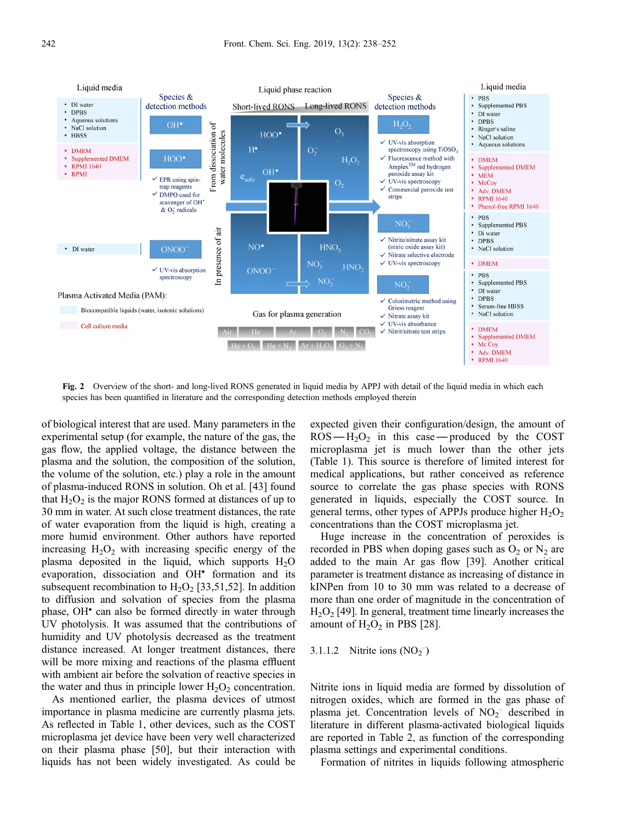

Fig. 2 Overview of the short- and long-lived RONS generated in liquid media by APPJ with detail of the liquid media in which each species has been quantified in literature and the corresponding detection methods employed therein

of biological interest that are used. Many parameters in the experimental setup (for example, the nature of the gas, the gas flow, the applied voltage, the distance between the plasma and the solution, the composition of the solution, the volume of the solution, etc.) play a role in the amount of plasma-induced RONS in solution. Oh et al. [\[43\]](#page-13-0) found that  $H_2O_2$  is the major RONS formed at distances of up to 30 mm in water. At such close treatment distances, the rate of water evaporation from the liquid is high, creating a more humid environment. Other authors have reported increasing  $H_2O_2$  with increasing specific energy of the plasma deposited in the liquid, which supports  $H_2O$ evaporation, dissociation and OH<sup>o</sup> formation and its subsequent recombination to  $H_2O_2$  [\[33,51,52\]](#page-13-0). In addition to diffusion and solvation of species from the plasma phase, OH<sup>•</sup> can also be formed directly in water through UV photolysis. It was assumed that the contributions of humidity and UV photolysis decreased as the treatment distance increased. At longer treatment distances, there will be more mixing and reactions of the plasma effluent with ambient air before the solvation of reactive species in the water and thus in principle lower  $H_2O_2$  concentration.

As mentioned earlier, the plasma devices of utmost importance in plasma medicine are currently plasma jets. As reflected in Table 1, other devices, such as the COST microplasma jet device have been very well characterized on their plasma phase [\[50\]](#page-13-0), but their interaction with liquids has not been widely investigated. As could be expected given their configuration/design, the amount of  $ROS - H<sub>2</sub>O<sub>2</sub>$  in this case — produced by the COST microplasma jet is much lower than the other jets (Table 1). This source is therefore of limited interest for medical applications, but rather conceived as reference source to correlate the gas phase species with RONS generated in liquids, especially the COST source. In general terms, other types of APPJs produce higher  $H_2O_2$ concentrations than the COST microplasma jet.

Huge increase in the concentration of peroxides is recorded in PBS when doping gases such as  $O_2$  or  $N_2$  are added to the main Ar gas flow [\[39\]](#page-13-0). Another critical parameter is treatment distance as increasing of distance in kINPen from 10 to 30 mm was related to a decrease of more than one order of magnitude in the concentration of  $H<sub>2</sub>O<sub>2</sub>$  [[49](#page-13-0)]. In general, treatment time linearly increases the amount of  $H_2O_2$  in PBS [\[28\]](#page-12-0).

# 3.1.1.2 Nitrite ions  $(NO<sub>2</sub><sup>-</sup>)$

Nitrite ions in liquid media are formed by dissolution of nitrogen oxides, which are formed in the gas phase of plasma jet. Concentration levels of  $NO<sub>2</sub><sup>-</sup>$  described in literature in different plasma-activated biological liquids are reported in Table 2, as function of the corresponding plasma settings and experimental conditions.

Formation of nitrites in liquids following atmospheric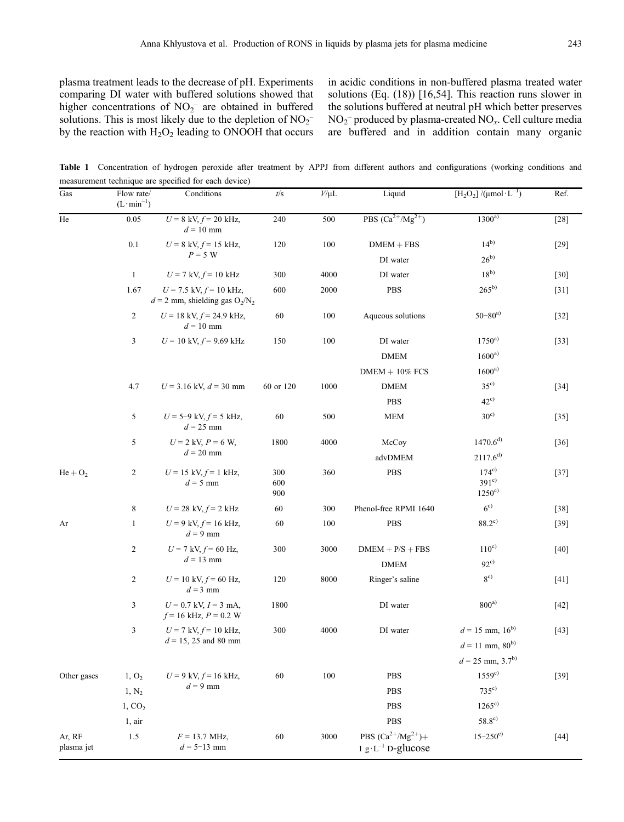plasma treatment leads to the decrease of pH. Experiments comparing DI water with buffered solutions showed that higher concentrations of  $NO<sub>2</sub><sup>-</sup>$  are obtained in buffered solutions. This is most likely due to the depletion of  $NO_2^$ by the reaction with  $H_2O_2$  leading to ONOOH that occurs in acidic conditions in non-buffered plasma treated water solutions (Eq. (18)) [[16](#page-12-0)[,54\]](#page-13-0). This reaction runs slower in the solutions buffered at neutral pH which better preserves  $NO_2^-$  produced by plasma-created  $NO_x$ . Cell culture media are buffered and in addition contain many organic

Table 1 Concentration of hydrogen peroxide after treatment by APPJ from different authors and configurations (working conditions and measurement technique are specified for each device)

| Gas                  | Flow rate/<br>$(L \cdot min^{-1})$ | Conditions                                                         | t/s               | $V/\mu L$ | Liquid                                                   | $[H_2O_2] / (\mu mol \cdot L^{-1})$            | Ref.   |
|----------------------|------------------------------------|--------------------------------------------------------------------|-------------------|-----------|----------------------------------------------------------|------------------------------------------------|--------|
| He                   | 0.05                               | $U = 8$ kV, $f = 20$ kHz,<br>$d = 10$ mm                           | 240               | 500       | PBS $(Ca^{2+}/Mg^{2+})$                                  | $1300^{a}$                                     | $[28]$ |
|                      | 0.1                                | $U = 8$ kV, $f = 15$ kHz,                                          | 120               | 100       | $DMEM + FBS$                                             | $14^{b}$                                       | $[29]$ |
|                      |                                    | $P = 5$ W                                                          |                   |           | DI water                                                 | $26^{b}$                                       |        |
|                      | $\mathbf{1}$                       | $U = 7$ kV, $f = 10$ kHz                                           | 300               | 4000      | DI water                                                 | $18^{b}$                                       | $[30]$ |
|                      | 1.67                               | $U = 7.5$ kV, $f = 10$ kHz,<br>$d = 2$ mm, shielding gas $O_2/N_2$ | 600               | 2000      | <b>PBS</b>                                               | $265^{b}$                                      | $[31]$ |
|                      | 2                                  | $U = 18$ kV, $f = 24.9$ kHz,<br>$d = 10$ mm                        | 60                | 100       | Aqueous solutions                                        | $50 - 80^{a}$                                  | $[32]$ |
|                      | 3                                  | $U = 10$ kV, $f = 9.69$ kHz                                        | 150               | 100       | DI water                                                 | $1750^{a}$                                     | $[33]$ |
|                      |                                    |                                                                    |                   |           | ${\rm DMEM}$                                             | $1600^{a}$                                     |        |
|                      |                                    |                                                                    |                   |           | $DMEM + 10\%$ FCS                                        | $1600^{\rm a}$                                 |        |
|                      | 4.7                                | $U = 3.16$ kV, $d = 30$ mm                                         | 60 or 120         | 1000      | <b>DMEM</b>                                              | $35^{\circ}$                                   | $[34]$ |
|                      |                                    |                                                                    |                   |           | <b>PBS</b>                                               | $42^{\circ}$                                   |        |
|                      | 5                                  | $U = 5-9$ kV, $f = 5$ kHz,<br>$d = 25$ mm                          | 60                | 500       | MEM                                                      | 30 <sup>c</sup>                                | $[35]$ |
|                      | 5                                  | $U = 2$ kV, $P = 6$ W,                                             | 1800              | 4000      | McCoy                                                    | $1470.6^{d}$                                   | $[36]$ |
|                      |                                    | $d = 20$ mm                                                        |                   |           | advDMEM                                                  | $2117.6^{d)}$                                  |        |
| $He + O2$            | 2                                  | $U = 15$ kV, $f = 1$ kHz,<br>$d = 5$ mm                            | 300<br>600<br>900 | 360       | PBS                                                      | $174^{\circ}$<br>$391^\circ$<br>$1250^{\circ}$ | $[37]$ |
|                      | 8                                  | $U = 28$ kV, $f = 2$ kHz                                           | 60                | 300       | Phenol-free RPMI 1640                                    | 6 <sup>c</sup>                                 | $[38]$ |
| Ar                   | $\mathbf{1}$                       | $U = 9$ kV, $f = 16$ kHz,<br>$d = 9$ mm                            | 60                | 100       | <b>PBS</b>                                               | $88.2^{\circ}$                                 | $[39]$ |
|                      | 2                                  | $U = 7$ kV, $f = 60$ Hz,                                           | 300               | 3000      | $DMEM + P/S + FBS$                                       | $110^{c}$                                      | $[40]$ |
|                      |                                    | $d = 13$ mm                                                        |                   |           | <b>DMEM</b>                                              | $92^{\circ}$                                   |        |
|                      | 2                                  | $U = 10$ kV, $f = 60$ Hz,<br>$d = 3$ mm                            | 120               | 8000      | Ringer's saline                                          | 8 <sup>c</sup>                                 | $[41]$ |
|                      | 3                                  | $U = 0.7$ kV, $I = 3$ mA,<br>$f = 16$ kHz, $P = 0.2$ W             | 1800              |           | DI water                                                 | 800 <sup>a</sup>                               | $[42]$ |
|                      | 3                                  | $U = 7$ kV, $f = 10$ kHz,<br>$d = 15, 25$ and 80 mm                | 300               | 4000      | DI water                                                 | $d = 15$ mm, $16^{b}$<br>$d = 11$ mm, $80^{b}$ | $[43]$ |
|                      |                                    |                                                                    |                   |           |                                                          | $d = 25$ mm, 3.7 <sup>b)</sup>                 |        |
| Other gases          |                                    | $U = 9$ kV, $f = 16$ kHz,                                          | 60                |           | PBS                                                      | $1559^{c}$                                     |        |
|                      | $1, 0_2$                           | $d = 9$ mm                                                         |                   | 100       | PBS                                                      | $735^{\circ}$                                  | $[39]$ |
|                      | $1, N_2$                           |                                                                    |                   |           | <b>PBS</b>                                               | $1265^{\circ}$                                 |        |
|                      | 1, CO <sub>2</sub>                 |                                                                    |                   |           | <b>PBS</b>                                               | $58.8^{c}$                                     |        |
| Ar, RF<br>plasma jet | 1, air<br>$1.5\,$                  | $F = 13.7 \text{ MHz},$<br>$d = 5 - 13$ mm                         | 60                | 3000      | PBS $(Ca^{2+}/Mg^{2+})+$<br>$1 g \cdot L^{-1}$ D-glucose | $15 - 250^{\circ}$                             | $[44]$ |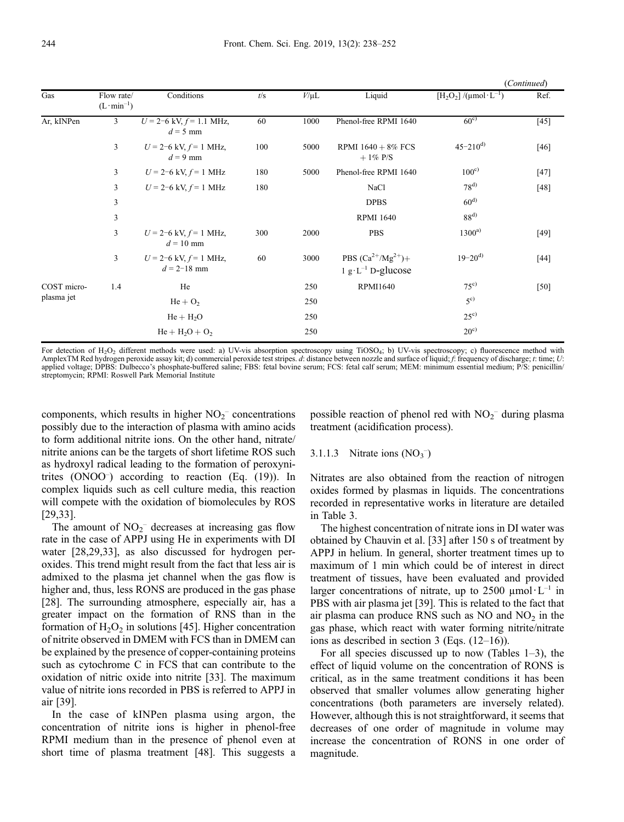|                           |                                           |                                               |     |           |                                                          |                                   | (Continued) |
|---------------------------|-------------------------------------------|-----------------------------------------------|-----|-----------|----------------------------------------------------------|-----------------------------------|-------------|
| Gas                       | Flow rate/<br>$(L \cdot \text{min}^{-1})$ | Conditions                                    | t/s | $V/\mu L$ | Liquid                                                   | $[H_2O_2]/(\mu mol \cdot L^{-1})$ | Ref.        |
| Ar, kINPen                | 3                                         | $U = 2$ -6 kV, $f = 1.1$ MHz,<br>$d = 5$ mm   | 60  | 1000      | Phenol-free RPMI 1640                                    | $60^{\circ}$                      | $[45]$      |
|                           | $\mathbf{3}$                              | $U = 2-6$ kV, $f = 1$ MHz,<br>$d = 9$ mm      | 100 | 5000      | RPMI $1640 + 8\%$ FCS<br>$+1\%$ P/S                      | $45 - 210^{d}$                    | $[46]$      |
|                           | 3                                         | $U = 2-6$ kV, $f = 1$ MHz                     | 180 | 5000      | Phenol-free RPMI 1640                                    | $100^{\circ}$                     | $[47]$      |
|                           | $\mathbf{3}$                              | $U = 2-6$ kV, $f = 1$ MHz                     | 180 |           | NaCl                                                     | $78^{d)}$                         | $[48]$      |
|                           | $\mathfrak{Z}$                            |                                               |     |           | <b>DPBS</b>                                              | 60 <sup>d</sup>                   |             |
|                           | 3                                         |                                               |     |           | <b>RPMI 1640</b>                                         | $88^{d}$                          |             |
|                           | $\mathbf{3}$                              | $U = 2-6$ kV, $f = 1$ MHz,<br>$d = 10$ mm     | 300 | 2000      | <b>PBS</b>                                               | $1300^{a}$                        | [49]        |
|                           | 3                                         | $U = 2-6$ kV, $f = 1$ MHz,<br>$d = 2 - 18$ mm | 60  | 3000      | PBS $(Ca^{2+}/Mg^{2+})+$<br>$1 g \cdot L^{-1}$ D-glucose | $19 - 20^{d}$                     | $[44]$      |
| COST micro-<br>plasma jet | 1.4                                       | He                                            |     | 250       | <b>RPMI1640</b>                                          | $75^{\circ}$                      | $[50]$      |
|                           |                                           | $He + O2$                                     |     | 250       |                                                          | 5 <sup>c</sup>                    |             |
|                           |                                           | $He + H2O$                                    |     | 250       |                                                          | $25^{\circ}$                      |             |
|                           |                                           | $He + H2O + O2$                               |     | 250       |                                                          | $20^{\circ}$                      |             |

For detection of H<sub>2</sub>O<sub>2</sub> different methods were used: a) UV-vis absorption spectroscopy using TiOSO<sub>4</sub>; b) UV-vis spectroscopy; c) fluorescence method with AmplexTM Red hydrogen peroxide assay kit; d) commercial peroxide test stripes. d: distance between nozzle and surface of liquid; f: frequency of discharge; t: time; U: applied voltage; DPBS: Dulbecco's phosphate-buffered saline; FBS: fetal bovine serum; FCS: fetal calf serum; MEM: minimum essential medium; P/S: penicillin/ streptomycin; RPMI: Roswell Park Memorial Institute

components, which results in higher  $NO<sub>2</sub><sup>-</sup>$  concentrations possibly due to the interaction of plasma with amino acids to form additional nitrite ions. On the other hand, nitrate/ nitrite anions can be the targets of short lifetime ROS such as hydroxyl radical leading to the formation of peroxynitrites (ONOO– ) according to reaction (Eq. (19)). In complex liquids such as cell culture media, this reaction will compete with the oxidation of biomolecules by ROS [\[29,](#page-12-0)[33\]](#page-13-0).

The amount of  $NO<sub>2</sub><sup>-</sup>$  decreases at increasing gas flow rate in the case of APPJ using He in experiments with DI water [[28](#page-12-0),[29](#page-12-0),[33](#page-13-0)], as also discussed for hydrogen peroxides. This trend might result from the fact that less air is admixed to the plasma jet channel when the gas flow is higher and, thus, less RONS are produced in the gas phase [\[28\]](#page-12-0). The surrounding atmosphere, especially air, has a greater impact on the formation of RNS than in the formation of  $H_2O_2$  in solutions [[45](#page-13-0)]. Higher concentration of nitrite observed in DMEM with FCS than in DMEM can be explained by the presence of copper-containing proteins such as cytochrome C in FCS that can contribute to the oxidation of nitric oxide into nitrite [[33](#page-13-0)]. The maximum value of nitrite ions recorded in PBS is referred to APPJ in air [[39](#page-13-0)].

In the case of kINPen plasma using argon, the concentration of nitrite ions is higher in phenol-free RPMI medium than in the presence of phenol even at short time of plasma treatment [\[48\]](#page-13-0). This suggests a

possible reaction of phenol red with  $NO<sub>2</sub><sup>-</sup>$  during plasma treatment (acidification process).

# 3.1.1.3 Nitrate ions  $(NO<sub>3</sub><sup>-</sup>)$

Nitrates are also obtained from the reaction of nitrogen oxides formed by plasmas in liquids. The concentrations recorded in representative works in literature are detailed in Table 3.

The highest concentration of nitrate ions in DI water was obtained by Chauvin et al. [\[33\]](#page-13-0) after 150 s of treatment by APPJ in helium. In general, shorter treatment times up to maximum of 1 min which could be of interest in direct treatment of tissues, have been evaluated and provided larger concentrations of nitrate, up to 2500 µmol∙L–<sup>1</sup> in PBS with air plasma jet [[39](#page-13-0)]. This is related to the fact that air plasma can produce RNS such as  $NO$  and  $NO<sub>2</sub>$  in the gas phase, which react with water forming nitrite/nitrate ions as described in section 3 (Eqs. (12–16)).

For all species discussed up to now (Tables  $1-3$ ), the effect of liquid volume on the concentration of RONS is critical, as in the same treatment conditions it has been observed that smaller volumes allow generating higher concentrations (both parameters are inversely related). However, although this is not straightforward, it seems that decreases of one order of magnitude in volume may increase the concentration of RONS in one order of magnitude.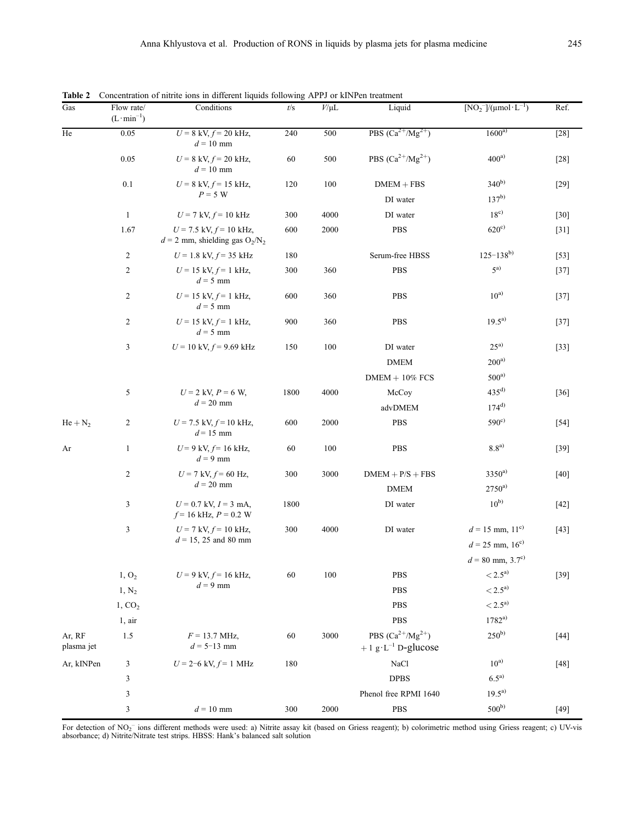| Gas                  | Flow rate/<br>$(L \cdot \text{min}^{-1})$ | Conditions                                                         | $t/\mathrm{s}$ | $V/\mu L$ | Liquid                                                      | $[NO2-]/(\mu mol \cdot L-1)$   | Ref.   |
|----------------------|-------------------------------------------|--------------------------------------------------------------------|----------------|-----------|-------------------------------------------------------------|--------------------------------|--------|
| He                   | 0.05                                      | $U = 8$ kV, $f = 20$ kHz,<br>$d = 10$ mm                           | 240            | 500       | PBS $(Ca^{2+}/Mg^{2+})$                                     | $1600^{\rm a}$                 | $[28]$ |
|                      | 0.05                                      | $U = 8$ kV, $f = 20$ kHz,<br>$d = 10$ mm                           | 60             | 500       | PBS $(Ca^{2+}/Mg^{2+})$                                     | 400 <sup>a</sup>               | $[28]$ |
|                      | 0.1                                       | $U = 8$ kV, $f = 15$ kHz,<br>$P = 5$ W                             | 120            | 100       | $DMEM + FBS$                                                | $340^{b}$                      | $[29]$ |
|                      |                                           |                                                                    |                |           | DI water                                                    | $137^{b}$                      |        |
|                      | $\mathbf{1}$                              | $U = 7$ kV, $f = 10$ kHz                                           | 300            | 4000      | DI water                                                    | 18 <sup>c</sup>                | $[30]$ |
|                      | 1.67                                      | $U = 7.5$ kV, $f = 10$ kHz,<br>$d = 2$ mm, shielding gas $O_2/N_2$ | 600            | 2000      | PBS                                                         | $620^{\circ}$                  | $[31]$ |
|                      | $\overline{c}$                            | $U = 1.8$ kV, $f = 35$ kHz                                         | 180            |           | Serum-free HBSS                                             | $125 - 138^{b}$                | $[53]$ |
|                      | 2                                         | $U = 15$ kV, $f = 1$ kHz,<br>$d = 5$ mm                            | 300            | 360       | PBS                                                         | $5^{a)}$                       | $[37]$ |
|                      | $\overline{c}$                            | $U = 15$ kV, $f = 1$ kHz,<br>$d = 5$ mm                            | 600            | 360       | PBS                                                         | $10^{a)}$                      | $[37]$ |
|                      | $\overline{c}$                            | $U = 15$ kV, $f = 1$ kHz,<br>$d = 5$ mm                            | 900            | 360       | PBS                                                         | $19.5^{a}$                     | $[37]$ |
|                      | 3                                         | $U = 10$ kV, $f = 9.69$ kHz                                        | 150            | 100       | DI water                                                    | $25^{a}$                       | $[33]$ |
|                      |                                           |                                                                    |                |           | <b>DMEM</b>                                                 | $200^{\rm a}$                  |        |
|                      |                                           |                                                                    |                |           | $DMEM + 10\%$ FCS                                           | $500^{\mathrm{a}}$             |        |
|                      | 5                                         | $U = 2$ kV, $P = 6$ W,                                             | 1800           | 4000      | McCoy                                                       | $435^{d}$                      | $[36]$ |
|                      |                                           | $d = 20$ mm                                                        |                |           | advDMEM                                                     | $174^{d}$                      |        |
| $He + N2$            | $\overline{c}$                            | $U = 7.5$ kV, $f = 10$ kHz,<br>$d = 15$ mm                         | 600            | 2000      | PBS                                                         | $590^\circ$                    | $[54]$ |
| Ar                   | $\mathbf{1}$                              | $U = 9$ kV, $f = 16$ kHz,<br>$d = 9$ mm                            | 60             | 100       | <b>PBS</b>                                                  | $8.8^{\rm a)}$                 | $[39]$ |
|                      | $\overline{c}$                            | $U = 7$ kV, $f = 60$ Hz,                                           | 300            | 3000      | $DMEM + P/S + FBS$                                          | $3350^{a}$                     | $[40]$ |
|                      |                                           | $d = 20$ mm                                                        |                |           | <b>DMEM</b>                                                 | $2750^{a}$                     |        |
|                      | 3                                         | $U = 0.7$ kV, $I = 3$ mA,<br>$f = 16$ kHz, $P = 0.2$ W             | 1800           |           | DI water                                                    | $10^{b}$                       | $[42]$ |
|                      | 3                                         | $U = 7$ kV, $f = 10$ kHz,                                          | 300            | 4000      | DI water                                                    | $d = 15$ mm, $11^{c}$          | $[43]$ |
|                      |                                           | $d = 15, 25$ and 80 mm                                             |                |           |                                                             | $d = 25$ mm, $16^{\circ}$      |        |
|                      |                                           |                                                                    |                |           |                                                             | $d = 80$ mm, 3.7 <sup>c)</sup> |        |
|                      | $1, 0_2$                                  | $U = 9$ kV, $f = 16$ kHz,                                          | $60\,$         | 100       | <b>PBS</b>                                                  | $< 2.5^{\rm a)}$               | $[39]$ |
|                      | $1, N_2$                                  | $d = 9$ mm                                                         |                |           | PBS                                                         | $< 2.5^{\rm a)}$               |        |
|                      | 1, CO <sub>2</sub>                        |                                                                    |                |           | PBS                                                         | $< 2.5^{\rm a)}$               |        |
|                      | 1, air                                    |                                                                    |                |           | PBS                                                         | $1782^{a}$                     |        |
| Ar, RF<br>plasma jet | 1.5                                       | $F = 13.7 \text{ MHz},$<br>$d = 5 - 13$ mm                         | 60             | 3000      | PBS $(Ca^{2+}/Mg^{2+})$<br>$+1$ g·L <sup>-1</sup> D-glucose | $250^{b}$                      | $[44]$ |
| Ar, kINPen           | 3                                         | $U = 2-6$ kV, $f = 1$ MHz                                          | 180            |           | NaCl                                                        | $10^{a}$                       | $[48]$ |
|                      | 3                                         |                                                                    |                |           | <b>DPBS</b>                                                 | $6.5^{a)}$                     |        |
|                      | 3                                         |                                                                    |                |           | Phenol free RPMI 1640                                       | $19.5^{a}$                     |        |
|                      | 3                                         | $d = 10$ mm                                                        | 300            | 2000      | PBS                                                         | $500^{b}$                      | $[49]$ |

Table 2 Concentration of nitrite ions in different liquids following APPJ or kINPen treatment

For detection of NO<sub>2</sub><sup>-</sup> ions different methods were used: a) Nitrite assay kit (based on Griess reagent); b) colorimetric method using Griess reagent; c) UV-vis<br>absorbance; d) Nitrite/Nitrate test strips. HBSS: Hank's ba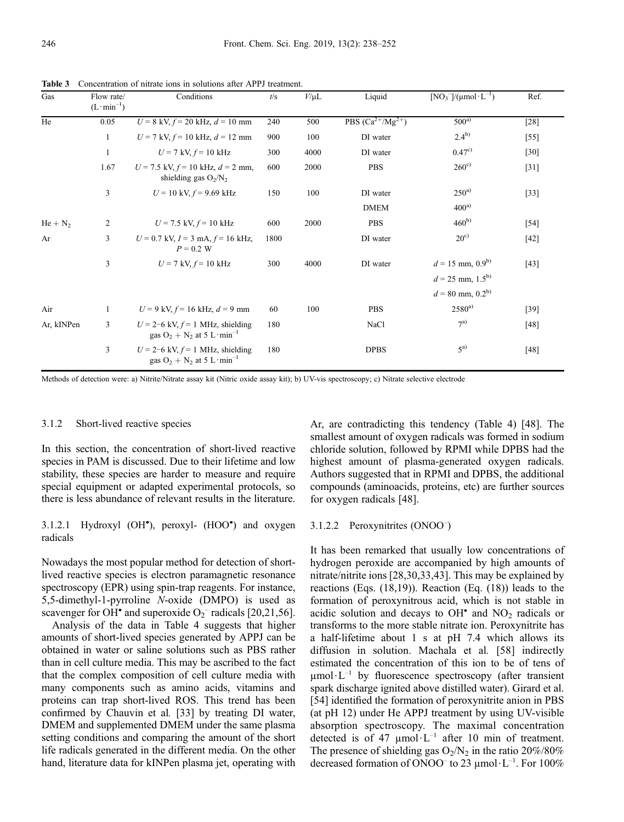| Gas        | Flow rate/<br>$(L \cdot \text{min}^{-1})$ | Conditions                                                                        | t/s  | $V/\mu L$ | Liquid                  | $[NO3-]/(\mu mol \cdot L^{-1})$ | Ref.   |
|------------|-------------------------------------------|-----------------------------------------------------------------------------------|------|-----------|-------------------------|---------------------------------|--------|
| He         | 0.05                                      | $U = 8$ kV, $f = 20$ kHz, $d = 10$ mm                                             | 240  | 500       | PBS $(Ca^{2+}/Mg^{2+})$ | $500^{\rm a}$                   | $[28]$ |
|            | 1                                         | $U = 7$ kV, $f = 10$ kHz, $d = 12$ mm                                             | 900  | 100       | DI water                | $2.4^{b}$                       | $[55]$ |
|            | 1                                         | $U = 7$ kV, $f = 10$ kHz                                                          | 300  | 4000      | DI water                | $0.47^{\circ}$                  | $[30]$ |
|            | 1.67                                      | $U = 7.5$ kV, $f = 10$ kHz, $d = 2$ mm,<br>shielding gas $O_2/N_2$                | 600  | 2000      | <b>PBS</b>              | $260^\circ$                     | $[31]$ |
|            | 3                                         | $U = 10$ kV, $f = 9.69$ kHz                                                       | 150  | 100       | DI water                | $250^{a}$                       | $[33]$ |
|            |                                           |                                                                                   |      |           | <b>DMEM</b>             | 400 <sup>a</sup>                |        |
| $He + N2$  | $\overline{2}$                            | $U = 7.5$ kV, $f = 10$ kHz                                                        | 600  | 2000      | <b>PBS</b>              | $460^{b}$                       | $[54]$ |
| Ar         | 3                                         | $U = 0.7$ kV, $I = 3$ mA, $f = 16$ kHz,<br>$P = 0.2 W$                            | 1800 |           | DI water                | $20^{\circ}$                    | $[42]$ |
|            | 3                                         | $U = 7$ kV, $f = 10$ kHz                                                          | 300  | 4000      | DI water                | $d = 15$ mm, $0.9^{b}$          | $[43]$ |
|            |                                           |                                                                                   |      |           |                         | $d = 25$ mm, $1.5^{b}$          |        |
|            |                                           |                                                                                   |      |           |                         | $d = 80$ mm, $0.2^{b}$          |        |
| Air        |                                           | $U = 9$ kV, $f = 16$ kHz, $d = 9$ mm                                              | 60   | 100       | <b>PBS</b>              | $2580^{a}$                      | $[39]$ |
| Ar, kINPen | 3                                         | $U = 2$ –6 kV, $f = 1$ MHz, shielding<br>gas $O_2 + N_2$ at 5 L·min <sup>-1</sup> | 180  |           | NaCl                    | $7^{a)}$                        | [48]   |
|            | 3                                         | $U = 2$ –6 kV, $f = 1$ MHz, shielding<br>gas $O_2 + N_2$ at 5 L·min <sup>-1</sup> | 180  |           | <b>DPBS</b>             | $5^{a)}$                        | $[48]$ |

Table 3 Concentration of nitrate ions in solutions after APPJ treatment.

Methods of detection were: a) Nitrite/Nitrate assay kit (Nitric oxide assay kit); b) UV-vis spectroscopy; c) Nitrate selective electrode

#### 3.1.2 Short-lived reactive species

In this section, the concentration of short-lived reactive species in PAM is discussed. Due to their lifetime and low stability, these species are harder to measure and require special equipment or adapted experimental protocols, so there is less abundance of relevant results in the literature.

3.1.2.1 Hydroxyl (OH ), peroxyl- (HOO ) and oxygen radicals

Nowadays the most popular method for detection of shortlived reactive species is electron paramagnetic resonance spectroscopy (EPR) using spin-trap reagents. For instance, 5,5-dimethyl-1-pyrroline N-oxide (DMPO) is used as scavenger for OH<sup>•</sup> and superoxide  $O_2^-$  radicals [\[20,21](#page-12-0),[56](#page-13-0)].

Analysis of the data in Table 4 suggests that higher amounts of short-lived species generated by APPJ can be obtained in water or saline solutions such as PBS rather than in cell culture media. This may be ascribed to the fact that the complex composition of cell culture media with many components such as amino acids, vitamins and proteins can trap short-lived ROS. This trend has been confirmed by Chauvin et al. [[33](#page-13-0)] by treating DI water, DMEM and supplemented DMEM under the same plasma setting conditions and comparing the amount of the short life radicals generated in the different media. On the other hand, literature data for kINPen plasma jet, operating with

Ar, are contradicting this tendency (Table 4) [\[48\]](#page-13-0). The smallest amount of oxygen radicals was formed in sodium chloride solution, followed by RPMI while DPBS had the highest amount of plasma-generated oxygen radicals. Authors suggested that in RPMI and DPBS, the additional compounds (aminoacids, proteins, etc) are further sources for oxygen radicals [[48](#page-13-0)].

# 3.1.2.2 Peroxynitrites (ONOO– )

It has been remarked that usually low concentrations of hydrogen peroxide are accompanied by high amounts of nitrate/nitrite ions [[28,30](#page-12-0)[,33,43\]](#page-13-0). This may be explained by reactions (Eqs. (18,19)). Reaction (Eq. (18)) leads to the formation of peroxynitrous acid, which is not stable in acidic solution and decays to  $OH<sup>•</sup>$  and  $NO<sub>2</sub>$  radicals or transforms to the more stable nitrate ion. Peroxynitrite has a half-lifetime about 1 s at pH 7.4 which allows its diffusion in solution. Machala et al. [\[58](#page-13-0)] indirectly estimated the concentration of this ion to be of tens of  $\mu$ mol·L<sup>-1</sup> by fluorescence spectroscopy (after transient spark discharge ignited above distilled water). Girard et al. [[54](#page-13-0)] identified the formation of peroxynitrite anion in PBS (at pH 12) under He APPJ treatment by using UV-visible absorption spectroscopy. The maximal concentration detected is of 47  $\mu$ mol·L<sup>-1</sup> after 10 min of treatment. The presence of shielding gas  $O_2/N_2$  in the ratio 20%/80% decreased formation of ONOO<sup>-</sup> to 23  $\mu$ mol·L<sup>-1</sup>. For 100%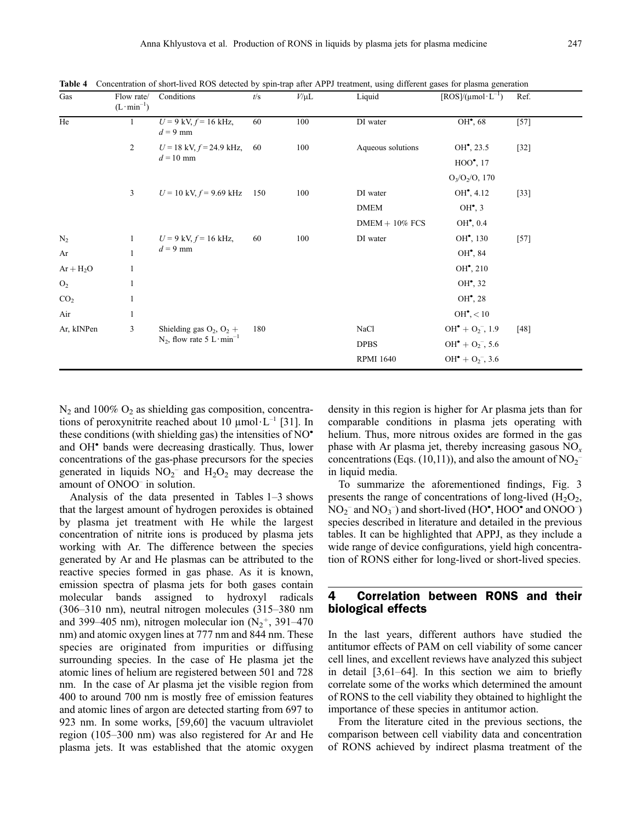| Gas             | Flow rate/<br>$(L \cdot \text{min}^{-1})$ | Conditions                                                               | t/s       | $V/\mu L$ | Liquid               | $[ROS]/(\mu mol \cdot L^{-1})$              | Ref.   |
|-----------------|-------------------------------------------|--------------------------------------------------------------------------|-----------|-----------|----------------------|---------------------------------------------|--------|
| He              | 1                                         | $U = 9$ kV, $f = 16$ kHz,<br>$d = 9$ mm                                  | 60        | 100       | DI water             | OH <sup>o</sup> , 68                        | $[57]$ |
|                 | 2                                         | $U = 18$ kV, $f = 24.9$ kHz,<br>$d = 10$ mm                              | -60       | 100       | Aqueous solutions    | $OH$ <sup><math>\bullet</math></sup> , 23.5 | $[32]$ |
|                 |                                           |                                                                          |           |           |                      | $HOO^{\bullet}$ , 17                        |        |
|                 |                                           |                                                                          |           |           |                      | $O_3/O_2/O$ , 170                           |        |
|                 | 3                                         | $U = 10$ kV, $f = 9.69$ kHz                                              | 150       | 100       | DI water             | $OH•$ , 4.12                                | $[33]$ |
|                 |                                           |                                                                          |           |           | <b>DMEM</b>          | $OH•$ , 3                                   |        |
|                 |                                           |                                                                          |           |           | $DMEM + 10\%$ FCS    | $OH•$ , 0.4                                 |        |
| $\mathrm{N}_2$  | $\mathbf{1}$                              | $U = 9$ kV, $f = 16$ kHz,                                                | 60<br>100 |           | DI water             | $OH•$ , 130                                 | $[57]$ |
| Ar              | 1                                         | $d = 9$ mm                                                               |           |           |                      | OH <sup>•</sup> , 84                        |        |
| $Ar + H2O$      | $\mathbf{1}$                              |                                                                          |           |           |                      | OH <sup>o</sup> , 210                       |        |
| $\mathrm{O}_2$  | 1                                         |                                                                          |           |           | OH <sup>•</sup> , 32 |                                             |        |
| CO <sub>2</sub> | 1                                         |                                                                          |           |           |                      | $OH•$ , 28                                  |        |
| Air             | 1                                         |                                                                          |           |           |                      | $OH$ <sup><math>\bullet</math></sup> , < 10 |        |
| Ar, kINPen      | 3                                         | Shielding gas $O_2$ , $O_2$ +<br>$N_2$ , flow rate 5 L·min <sup>-1</sup> | 180       |           | NaCl                 | $OH• + O2-, 1.9$                            | [48]   |
|                 |                                           |                                                                          |           |           | <b>DPBS</b>          | $OH• + O2-$ , 5.6                           |        |
|                 |                                           |                                                                          |           |           | <b>RPMI 1640</b>     | $OH• + O2-$ , 3.6                           |        |

Table 4 Concentration of short-lived ROS detected by spin-trap after APPJ treatment, using different gases for plasma generation

 $N_2$  and 100%  $O_2$  as shielding gas composition, concentrations of peroxynitrite reached about 10  $\mu$ mol·L<sup>-1</sup> [[31](#page-12-0)]. In these conditions (with shielding gas) the intensities of NO and OH<sup>•</sup> bands were decreasing drastically. Thus, lower concentrations of the gas-phase precursors for the species generated in liquids  $NO_2^-$  and  $H_2O_2$  may decrease the amount of ONOO– in solution.

Analysis of the data presented in Tables 1–3 shows that the largest amount of hydrogen peroxides is obtained by plasma jet treatment with He while the largest concentration of nitrite ions is produced by plasma jets working with Ar. The difference between the species generated by Ar and He plasmas can be attributed to the reactive species formed in gas phase. As it is known, emission spectra of plasma jets for both gases contain molecular bands assigned to hydroxyl radicals (306–310 nm), neutral nitrogen molecules (315–380 nm and 399–405 nm), nitrogen molecular ion  $(N_2^+$ , 391–470 nm) and atomic oxygen lines at 777 nm and 844 nm. These species are originated from impurities or diffusing surrounding species. In the case of He plasma jet the atomic lines of helium are registered between 501 and 728 nm. In the case of Ar plasma jet the visible region from 400 to around 700 nm is mostly free of emission features and atomic lines of argon are detected starting from 697 to 923 nm. In some works, [\[59,](#page-13-0)[60\]](#page-14-0) the vacuum ultraviolet region (105–300 nm) was also registered for Ar and He plasma jets. It was established that the atomic oxygen

density in this region is higher for Ar plasma jets than for comparable conditions in plasma jets operating with helium. Thus, more nitrous oxides are formed in the gas phase with Ar plasma jet, thereby increasing gasous  $NO<sub>x</sub>$ concentrations (Eqs. (10,11)), and also the amount of  $NO_2^$ in liquid media.

To summarize the aforementioned findings, Fig. 3 presents the range of concentrations of long-lived  $(H_2O_2)$ ,  $NO_2^-$  and  $NO_3^-$ ) and short-lived (HO<sup>•</sup>, HOO<sup>•</sup> and ONOO<sup>–</sup>) species described in literature and detailed in the previous tables. It can be highlighted that APPJ, as they include a wide range of device configurations, yield high concentration of RONS either for long-lived or short-lived species.

# 4 Correlation between RONS and their biological effects

In the last years, different authors have studied the antitumor effects of PAM on cell viability of some cancer cell lines, and excellent reviews have analyzed this subject in detail [\[3](#page-11-0)[,61](#page-14-0)–[64](#page-14-0)]. In this section we aim to briefly correlate some of the works which determined the amount of RONS to the cell viability they obtained to highlight the importance of these species in antitumor action.

From the literature cited in the previous sections, the comparison between cell viability data and concentration of RONS achieved by indirect plasma treatment of the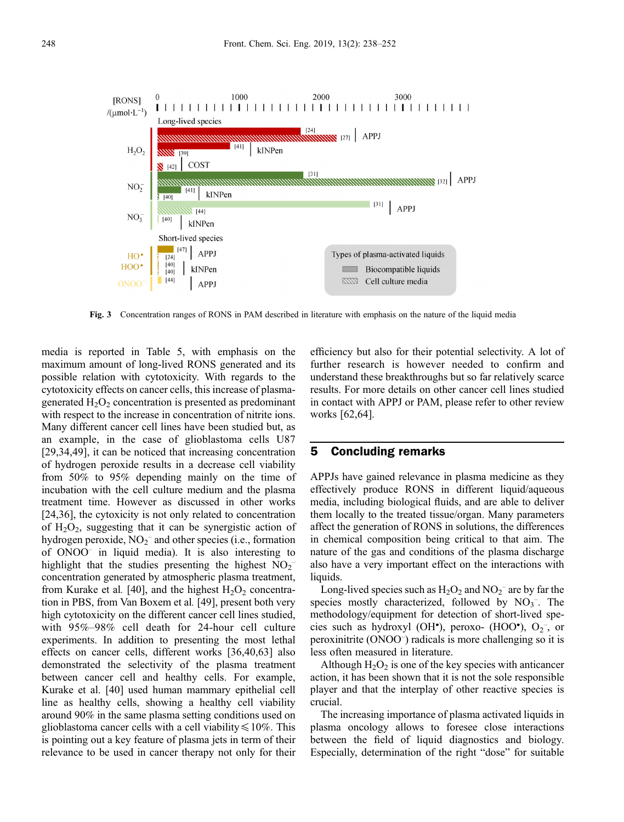

Fig. 3 Concentration ranges of RONS in PAM described in literature with emphasis on the nature of the liquid media

media is reported in Table 5, with emphasis on the maximum amount of long-lived RONS generated and its possible relation with cytotoxicity. With regards to the cytotoxicity effects on cancer cells, this increase of plasmagenerated  $H_2O_2$  concentration is presented as predominant with respect to the increase in concentration of nitrite ions. Many different cancer cell lines have been studied but, as an example, in the case of glioblastoma cells U87 [\[29,](#page-12-0)[34,49\]](#page-13-0), it can be noticed that increasing concentration of hydrogen peroxide results in a decrease cell viability from 50% to 95% depending mainly on the time of incubation with the cell culture medium and the plasma treatment time. However as discussed in other works [\[24,](#page-12-0)[36\]](#page-13-0), the cytoxicity is not only related to concentration of  $H_2O_2$ , suggesting that it can be synergistic action of hydrogen peroxide,  $NO_2^-$  and other species (i.e., formation of ONOO– in liquid media). It is also interesting to highlight that the studies presenting the highest  $NO_2^$ concentration generated by atmospheric plasma treatment, from Kurake et al. [[40](#page-13-0)], and the highest  $H_2O_2$  concentration in PBS, from Van Boxem et al. [[49](#page-13-0)], present both very high cytotoxicity on the different cancer cell lines studied, with 95%–98% cell death for 24-hour cell culture experiments. In addition to presenting the most lethal effects on cancer cells, different works [\[36,40](#page-13-0)[,63\]](#page-14-0) also demonstrated the selectivity of the plasma treatment between cancer cell and healthy cells. For example, Kurake et al. [\[40](#page-13-0)] used human mammary epithelial cell line as healthy cells, showing a healthy cell viability around 90% in the same plasma setting conditions used on glioblastoma cancer cells with a cell viability  $\leq 10\%$ . This is pointing out a key feature of plasma jets in term of their relevance to be used in cancer therapy not only for their

efficiency but also for their potential selectivity. A lot of further research is however needed to confirm and understand these breakthroughs but so far relatively scarce results. For more details on other cancer cell lines studied in contact with APPJ or PAM, please refer to other review works [\[62,64\]](#page-14-0).

# 5 Concluding remarks

APPJs have gained relevance in plasma medicine as they effectively produce RONS in different liquid/aqueous media, including biological fluids, and are able to deliver them locally to the treated tissue/organ. Many parameters affect the generation of RONS in solutions, the differences in chemical composition being critical to that aim. The nature of the gas and conditions of the plasma discharge also have a very important effect on the interactions with liquids.

Long-lived species such as  $H_2O_2$  and  $NO_2^-$  are by far the species mostly characterized, followed by  $NO<sub>3</sub>^-$ . The methodology/equipment for detection of short-lived species such as hydroxyl (OH<sup>•</sup>), peroxo- (HOO<sup>•</sup>), O<sub>2</sub><sup>-</sup>, or peroxinitrite (ONOO– ) radicals is more challenging so it is less often measured in literature.

Although  $H_2O_2$  is one of the key species with anticancer action, it has been shown that it is not the sole responsible player and that the interplay of other reactive species is crucial.

The increasing importance of plasma activated liquids in plasma oncology allows to foresee close interactions between the field of liquid diagnostics and biology. Especially, determination of the right "dose" for suitable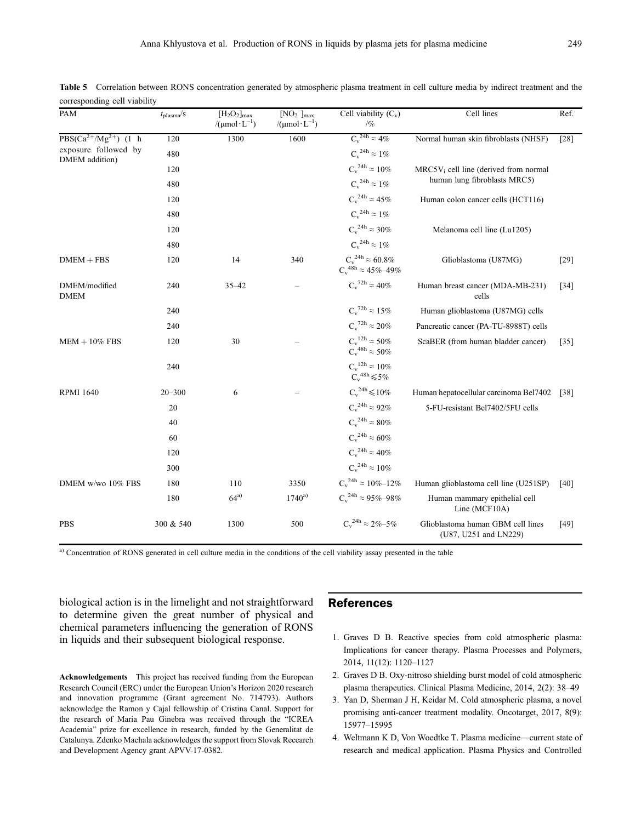| PAM                                    | $t_{\rm plasma} / {\rm s}$ | $[H_2O_2]_{max}$<br>$/(\mu \text{mol} \cdot \text{L}^{-1})$ | $[NO2$ <sup>-</sup> $]_{max}$<br>$/(\mu \text{mol} \cdot \text{L}^{-1})$ | Cell viability $(C_v)$<br>$/ \%$                              | Cell lines                                                 | Ref.               |
|----------------------------------------|----------------------------|-------------------------------------------------------------|--------------------------------------------------------------------------|---------------------------------------------------------------|------------------------------------------------------------|--------------------|
| $PBS(Ca^{2+}/Mg^{2+})$ (1 h            | 120                        | 1300                                                        | 1600                                                                     | $C_v^{24h} \approx 4\%$                                       | Normal human skin fibroblasts (NHSF)                       | $[28]$             |
| exposure followed by<br>DMEM addition) | 480                        |                                                             |                                                                          | $C_v^{24h} \approx 1\%$                                       |                                                            |                    |
|                                        | 120                        |                                                             |                                                                          | $C_v^{24h} \approx 10\%$                                      | $MRC5V_i$ cell line (derived from normal                   |                    |
|                                        | 480                        |                                                             |                                                                          | $C_v^{24h} \approx 1\%$                                       | human lung fibroblasts MRC5)                               |                    |
|                                        | 120                        |                                                             |                                                                          | $C_v^{24h} \approx 45\%$                                      | Human colon cancer cells (HCT116)                          |                    |
|                                        | 480                        |                                                             |                                                                          | $C_v^{24h} \approx 1\%$                                       |                                                            |                    |
|                                        | 120                        |                                                             |                                                                          | $C_v^{24h} \approx 30\%$                                      | Melanoma cell line (Lu1205)                                |                    |
|                                        | 480                        |                                                             |                                                                          | $C_v^{24h} \approx 1\%$                                       |                                                            |                    |
| $DMEM + FBS$                           | 120                        | 14                                                          | 340                                                                      | $C_v^{24h} \approx 60.8\%$<br>$C_v^{48h} \approx 45\% - 49\%$ | Glioblastoma (U87MG)                                       | $[29]$             |
| DMEM/modified<br><b>DMEM</b>           | 240                        | $35 - 42$                                                   |                                                                          | $C_v^{\ 72h} \approx 40\%$                                    | Human breast cancer (MDA-MB-231)<br>cells                  | $[34]$             |
|                                        | 240                        |                                                             |                                                                          | $C_{\rm v}^{\ 72h} \approx 15\%$                              | Human glioblastoma (U87MG) cells                           |                    |
|                                        | 240                        |                                                             |                                                                          | $C_v^{\ 72h} \approx 20\%$                                    | Pancreatic cancer (PA-TU-8988T) cells                      |                    |
| $MEM + 10\%$ FBS                       | 120                        | 30                                                          |                                                                          | $C_v^{12h} \approx 50\%$<br>$C_v^{48h} \approx 50\%$          | ScaBER (from human bladder cancer)                         | $[35]$             |
|                                        | 240                        |                                                             |                                                                          | $C_v^{12h} \approx 10\%$<br>$C_v^{48h} \leqslant 5\%$         |                                                            |                    |
| <b>RPMI 1640</b>                       | $20 - 300$                 | 6                                                           |                                                                          | $C_v^{24h} \leq 10\%$                                         | Human hepatocellular carcinoma Bel7402                     | $\lceil 38 \rceil$ |
|                                        | 20                         |                                                             |                                                                          | $C_v^{24h} \approx 92\%$                                      | 5-FU-resistant Bel7402/5FU cells                           |                    |
|                                        | 40                         |                                                             |                                                                          | $C_v^{24h} \approx 80\%$                                      |                                                            |                    |
|                                        | 60                         |                                                             |                                                                          | $C_v^{24h} \approx 60\%$                                      |                                                            |                    |
|                                        | 120                        |                                                             |                                                                          | $C_v^{24h} \approx 40\%$                                      |                                                            |                    |
|                                        | 300                        |                                                             |                                                                          | $C_v^{24h} \approx 10\%$                                      |                                                            |                    |
| DMEM w/wo 10% FBS                      | 180                        | 110                                                         | 3350                                                                     | $C_v^{24h} \approx 10\% - 12\%$                               | Human glioblastoma cell line (U251SP)                      | [40]               |
|                                        | 180                        | $64^{a}$                                                    | $1740^{a}$                                                               | $C_v^{24h} \approx 95\% - 98\%$                               | Human mammary epithelial cell<br>Line $(MCF10A)$           |                    |
| <b>PBS</b>                             | 300 & 540                  | 1300                                                        | 500                                                                      | ${C_v}^{24h} \approx 2\%-5\%$                                 | Glioblastoma human GBM cell lines<br>(U87, U251 and LN229) | $[49]$             |

<span id="page-11-0"></span>Table 5 Correlation between RONS concentration generated by atmospheric plasma treatment in cell culture media by indirect treatment and the corresponding cell viability

a) Concentration of RONS generated in cell culture media in the conditions of the cell viability assay presented in the table

biological action is in the limelight and not straightforward to determine given the great number of physical and chemical parameters influencing the generation of RONS in liquids and their subsequent biological response.

Acknowledgements This project has received funding from the European Research Council (ERC) under the European Union's Horizon 2020 research and innovation programme (Grant agreement No. 714793). Authors acknowledge the Ramon y Cajal fellowship of Cristina Canal. Support for the research of Maria Pau Ginebra was received through the "ICREA Academia" prize for excellence in research, funded by the Generalitat de Catalunya. Zdenko Machala acknowledges the support from Slovak Recearch and Development Agency grant APVV-17-0382.

# References

- 1. Graves D B. Reactive species from cold atmospheric plasma: Implications for cancer therapy. Plasma Processes and Polymers, 2014, 11(12): 1120–1127
- 2. Graves D B. Oxy-nitroso shielding burst model of cold atmospheric plasma therapeutics. Clinical Plasma Medicine, 2014, 2(2): 38–49
- 3. Yan D, Sherman J H, Keidar M. Cold atmospheric plasma, a novel promising anti-cancer treatment modality. Oncotarget, 2017, 8(9): 15977–15995
- 4. Weltmann K D, Von Woedtke T. Plasma medicine—current state of research and medical application. Plasma Physics and Controlled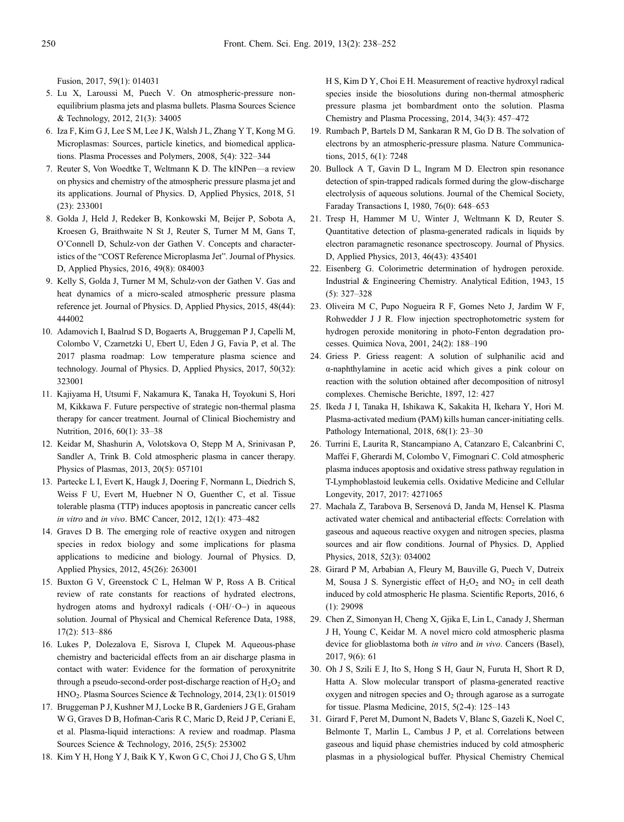<span id="page-12-0"></span>Fusion, 2017, 59(1): 014031

- 5. Lu X, Laroussi M, Puech V. On atmospheric-pressure nonequilibrium plasma jets and plasma bullets. Plasma Sources Science & Technology, 2012, 21(3): 34005
- 6. Iza F, Kim G J, Lee S M, Lee J K, Walsh J L, Zhang Y T, Kong M G. Microplasmas: Sources, particle kinetics, and biomedical applications. Plasma Processes and Polymers, 2008, 5(4): 322–344
- 7. Reuter S, Von Woedtke T, Weltmann K D. The kINPen—a review on physics and chemistry of the atmospheric pressure plasma jet and its applications. Journal of Physics. D, Applied Physics, 2018, 51 (23): 233001
- 8. Golda J, Held J, Redeker B, Konkowski M, Beijer P, Sobota A, Kroesen G, Braithwaite N St J, Reuter S, Turner M M, Gans T, O'Connell D, Schulz-von der Gathen V. Concepts and characteristics of the "COST Reference Microplasma Jet". Journal of Physics. D, Applied Physics, 2016, 49(8): 084003
- 9. Kelly S, Golda J, Turner M M, Schulz-von der Gathen V. Gas and heat dynamics of a micro-scaled atmospheric pressure plasma reference jet. Journal of Physics. D, Applied Physics, 2015, 48(44): 444002
- 10. Adamovich I, Baalrud S D, Bogaerts A, Bruggeman P J, Capelli M, Colombo V, Czarnetzki U, Ebert U, Eden J G, Favia P, et al. The 2017 plasma roadmap: Low temperature plasma science and technology. Journal of Physics. D, Applied Physics, 2017, 50(32): 323001
- 11. Kajiyama H, Utsumi F, Nakamura K, Tanaka H, Toyokuni S, Hori M, Kikkawa F. Future perspective of strategic non-thermal plasma therapy for cancer treatment. Journal of Clinical Biochemistry and Nutrition, 2016, 60(1): 33–38
- 12. Keidar M, Shashurin A, Volotskova O, Stepp M A, Srinivasan P, Sandler A, Trink B. Cold atmospheric plasma in cancer therapy. Physics of Plasmas, 2013, 20(5): 057101
- 13. Partecke L I, Evert K, Haugk J, Doering F, Normann L, Diedrich S, Weiss F U, Evert M, Huebner N O, Guenther C, et al. Tissue tolerable plasma (TTP) induces apoptosis in pancreatic cancer cells in vitro and in vivo. BMC Cancer, 2012, 12(1): 473–482
- 14. Graves D B. The emerging role of reactive oxygen and nitrogen species in redox biology and some implications for plasma applications to medicine and biology. Journal of Physics. D, Applied Physics, 2012, 45(26): 263001
- 15. Buxton G V, Greenstock C L, Helman W P, Ross A B. Critical review of rate constants for reactions of hydrated electrons, hydrogen atoms and hydroxyl radicals ( $\cdot$ OH/ $\cdot$ O-) in aqueous solution. Journal of Physical and Chemical Reference Data, 1988, 17(2): 513–886
- 16. Lukes P, Dolezalova E, Sisrova I, Clupek M. Aqueous-phase chemistry and bactericidal effects from an air discharge plasma in contact with water: Evidence for the formation of peroxynitrite through a pseudo-second-order post-discharge reaction of  $H_2O_2$  and HNO2. Plasma Sources Science & Technology, 2014, 23(1): 015019
- 17. Bruggeman P J, Kushner M J, Locke B R, Gardeniers J G E, Graham W G, Graves D B, Hofman-Caris R C, Maric D, Reid J P, Ceriani E, et al. Plasma-liquid interactions: A review and roadmap. Plasma Sources Science & Technology, 2016, 25(5): 253002
- 18. Kim Y H, Hong Y J, Baik K Y, Kwon G C, Choi J J, Cho G S, Uhm

H S, Kim D Y, Choi E H. Measurement of reactive hydroxyl radical species inside the biosolutions during non-thermal atmospheric pressure plasma jet bombardment onto the solution. Plasma Chemistry and Plasma Processing, 2014, 34(3): 457–472

- 19. Rumbach P, Bartels D M, Sankaran R M, Go D B. The solvation of electrons by an atmospheric-pressure plasma. Nature Communications, 2015, 6(1): 7248
- 20. Bullock A T, Gavin D L, Ingram M D. Electron spin resonance detection of spin-trapped radicals formed during the glow-discharge electrolysis of aqueous solutions. Journal of the Chemical Society, Faraday Transactions I, 1980, 76(0): 648–653
- 21. Tresp H, Hammer M U, Winter J, Weltmann K D, Reuter S. Quantitative detection of plasma-generated radicals in liquids by electron paramagnetic resonance spectroscopy. Journal of Physics. D, Applied Physics, 2013, 46(43): 435401
- 22. Eisenberg G. Colorimetric determination of hydrogen peroxide. Industrial & Engineering Chemistry. Analytical Edition, 1943, 15 (5): 327–328
- 23. Oliveira M C, Pupo Nogueira R F, Gomes Neto J, Jardim W F, Rohwedder J J R. Flow injection spectrophotometric system for hydrogen peroxide monitoring in photo-Fenton degradation processes. Quimica Nova, 2001, 24(2): 188–190
- 24. Griess P. Griess reagent: A solution of sulphanilic acid and α-naphthylamine in acetic acid which gives a pink colour on reaction with the solution obtained after decomposition of nitrosyl complexes. Chemische Berichte, 1897, 12: 427
- 25. Ikeda J I, Tanaka H, Ishikawa K, Sakakita H, Ikehara Y, Hori M. Plasma-activated medium (PAM) kills human cancer-initiating cells. Pathology International, 2018, 68(1): 23–30
- 26. Turrini E, Laurita R, Stancampiano A, Catanzaro E, Calcanbrini C, Maffei F, Gherardi M, Colombo V, Fimognari C. Cold atmospheric plasma induces apoptosis and oxidative stress pathway regulation in T-Lymphoblastoid leukemia cells. Oxidative Medicine and Cellular Longevity, 2017, 2017: 4271065
- 27. Machala Z, Tarabova B, Sersenová D, Janda M, Hensel K. Plasma activated water chemical and antibacterial effects: Correlation with gaseous and aqueous reactive oxygen and nitrogen species, plasma sources and air flow conditions. Journal of Physics. D, Applied Physics, 2018, 52(3): 034002
- 28. Girard P M, Arbabian A, Fleury M, Bauville G, Puech V, Dutreix M, Sousa J S. Synergistic effect of  $H_2O_2$  and  $NO_2$  in cell death induced by cold atmospheric He plasma. Scientific Reports, 2016, 6 (1): 29098
- 29. Chen Z, Simonyan H, Cheng X, Gjika E, Lin L, Canady J, Sherman J H, Young C, Keidar M. A novel micro cold atmospheric plasma device for glioblastoma both in vitro and in vivo. Cancers (Basel), 2017, 9(6): 61
- 30. Oh J S, Szili E J, Ito S, Hong S H, Gaur N, Furuta H, Short R D, Hatta A. Slow molecular transport of plasma-generated reactive oxygen and nitrogen species and  $O_2$  through agarose as a surrogate for tissue. Plasma Medicine, 2015, 5(2-4): 125–143
- 31. Girard F, Peret M, Dumont N, Badets V, Blanc S, Gazeli K, Noel C, Belmonte T, Marlin L, Cambus J P, et al. Correlations between gaseous and liquid phase chemistries induced by cold atmospheric plasmas in a physiological buffer. Physical Chemistry Chemical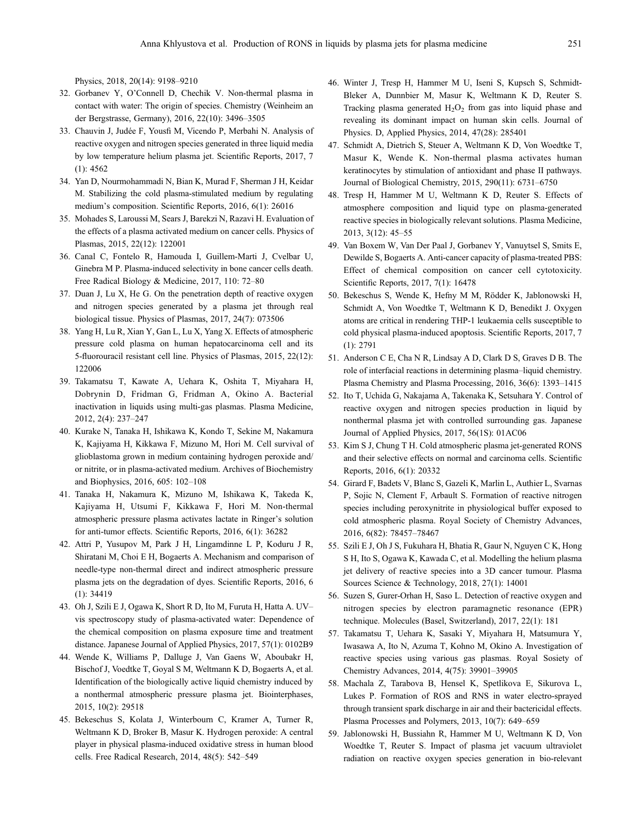Physics, 2018, 20(14): 9198–9210

- <span id="page-13-0"></span>32. Gorbanev Y, O'Connell D, Chechik V. Non-thermal plasma in contact with water: The origin of species. Chemistry (Weinheim an der Bergstrasse, Germany), 2016, 22(10): 3496–3505
- 33. Chauvin J, Judée F, Yousfi M, Vicendo P, Merbahi N. Analysis of reactive oxygen and nitrogen species generated in three liquid media by low temperature helium plasma jet. Scientific Reports, 2017, 7 (1): 4562
- 34. Yan D, Nourmohammadi N, Bian K, Murad F, Sherman J H, Keidar M. Stabilizing the cold plasma-stimulated medium by regulating medium's composition. Scientific Reports, 2016, 6(1): 26016
- 35. Mohades S, Laroussi M, Sears J, Barekzi N, Razavi H. Evaluation of the effects of a plasma activated medium on cancer cells. Physics of Plasmas, 2015, 22(12): 122001
- 36. Canal C, Fontelo R, Hamouda I, Guillem-Marti J, Cvelbar U, Ginebra M P. Plasma-induced selectivity in bone cancer cells death. Free Radical Biology & Medicine, 2017, 110: 72–80
- 37. Duan J, Lu X, He G. On the penetration depth of reactive oxygen and nitrogen species generated by a plasma jet through real biological tissue. Physics of Plasmas, 2017, 24(7): 073506
- 38. Yang H, Lu R, Xian Y, Gan L, Lu X, Yang X. Effects of atmospheric pressure cold plasma on human hepatocarcinoma cell and its 5-fluorouracil resistant cell line. Physics of Plasmas, 2015, 22(12): 122006
- 39. Takamatsu T, Kawate A, Uehara K, Oshita T, Miyahara H, Dobrynin D, Fridman G, Fridman A, Okino A. Bacterial inactivation in liquids using multi-gas plasmas. Plasma Medicine, 2012, 2(4): 237–247
- 40. Kurake N, Tanaka H, Ishikawa K, Kondo T, Sekine M, Nakamura K, Kajiyama H, Kikkawa F, Mizuno M, Hori M. Cell survival of glioblastoma grown in medium containing hydrogen peroxide and/ or nitrite, or in plasma-activated medium. Archives of Biochemistry and Biophysics, 2016, 605: 102–108
- 41. Tanaka H, Nakamura K, Mizuno M, Ishikawa K, Takeda K, Kajiyama H, Utsumi F, Kikkawa F, Hori M. Non-thermal atmospheric pressure plasma activates lactate in Ringer's solution for anti-tumor effects. Scientific Reports, 2016, 6(1): 36282
- 42. Attri P, Yusupov M, Park J H, Lingamdinne L P, Koduru J R, Shiratani M, Choi E H, Bogaerts A. Mechanism and comparison of needle-type non-thermal direct and indirect atmospheric pressure plasma jets on the degradation of dyes. Scientific Reports, 2016, 6 (1): 34419
- 43. Oh J, Szili E J, Ogawa K, Short R D, Ito M, Furuta H, Hatta A. UV– vis spectroscopy study of plasma-activated water: Dependence of the chemical composition on plasma exposure time and treatment distance. Japanese Journal of Applied Physics, 2017, 57(1): 0102B9
- 44. Wende K, Williams P, Dalluge J, Van Gaens W, Aboubakr H, Bischof J, Voedtke T, Goyal S M, Weltmann K D, Bogaerts A, et al. Identification of the biologically active liquid chemistry induced by a nonthermal atmospheric pressure plasma jet. Biointerphases, 2015, 10(2): 29518
- 45. Bekeschus S, Kolata J, Winterbourn C, Kramer A, Turner R, Weltmann K D, Broker B, Masur K. Hydrogen peroxide: A central player in physical plasma-induced oxidative stress in human blood cells. Free Radical Research, 2014, 48(5): 542–549
- 46. Winter J, Tresp H, Hammer M U, Iseni S, Kupsch S, Schmidt-Bleker A, Dunnbier M, Masur K, Weltmann K D, Reuter S. Tracking plasma generated  $H_2O_2$  from gas into liquid phase and revealing its dominant impact on human skin cells. Journal of Physics. D, Applied Physics, 2014, 47(28): 285401
- 47. Schmidt A, Dietrich S, Steuer A, Weltmann K D, Von Woedtke T, Masur K, Wende K. Non-thermal plasma activates human keratinocytes by stimulation of antioxidant and phase II pathways. Journal of Biological Chemistry, 2015, 290(11): 6731–6750
- 48. Tresp H, Hammer M U, Weltmann K D, Reuter S. Effects of atmosphere composition and liquid type on plasma-generated reactive species in biologically relevant solutions. Plasma Medicine, 2013, 3(12): 45–55
- 49. Van Boxem W, Van Der Paal J, Gorbanev Y, Vanuytsel S, Smits E, Dewilde S, Bogaerts A. Anti-cancer capacity of plasma-treated PBS: Effect of chemical composition on cancer cell cytotoxicity. Scientific Reports, 2017, 7(1): 16478
- 50. Bekeschus S, Wende K, Hefny M M, Rödder K, Jablonowski H, Schmidt A, Von Woedtke T, Weltmann K D, Benedikt J. Oxygen atoms are critical in rendering THP-1 leukaemia cells susceptible to cold physical plasma-induced apoptosis. Scientific Reports, 2017, 7 (1): 2791
- 51. Anderson C E, Cha N R, Lindsay A D, Clark D S, Graves D B. The role of interfacial reactions in determining plasma–liquid chemistry. Plasma Chemistry and Plasma Processing, 2016, 36(6): 1393–1415
- 52. Ito T, Uchida G, Nakajama A, Takenaka K, Setsuhara Y. Control of reactive oxygen and nitrogen species production in liquid by nonthermal plasma jet with controlled surrounding gas. Japanese Journal of Applied Physics, 2017, 56(1S): 01AC06
- 53. Kim S J, Chung T H. Cold atmospheric plasma jet-generated RONS and their selective effects on normal and carcinoma cells. Scientific Reports, 2016, 6(1): 20332
- 54. Girard F, Badets V, Blanc S, Gazeli K, Marlin L, Authier L, Svarnas P, Sojic N, Clement F, Arbault S. Formation of reactive nitrogen species including peroxynitrite in physiological buffer exposed to cold atmospheric plasma. Royal Society of Chemistry Advances, 2016, 6(82): 78457–78467
- 55. Szili E J, Oh J S, Fukuhara H, Bhatia R, Gaur N, Nguyen C K, Hong S H, Ito S, Ogawa K, Kawada C, et al. Modelling the helium plasma jet delivery of reactive species into a 3D cancer tumour. Plasma Sources Science & Technology, 2018, 27(1): 14001
- 56. Suzen S, Gurer-Orhan H, Saso L. Detection of reactive oxygen and nitrogen species by electron paramagnetic resonance (EPR) technique. Molecules (Basel, Switzerland), 2017, 22(1): 181
- 57. Takamatsu T, Uehara K, Sasaki Y, Miyahara H, Matsumura Y, Iwasawa A, Ito N, Azuma T, Kohno M, Okino A. Investigation of reactive species using various gas plasmas. Royal Sosiety of Chemistry Advances, 2014, 4(75): 39901–39905
- 58. Machala Z, Tarabova B, Hensel K, Spetlikova E, Sikurova L, Lukes P. Formation of ROS and RNS in water electro-sprayed through transient spark discharge in air and their bactericidal effects. Plasma Processes and Polymers, 2013, 10(7): 649–659
- 59. Jablonowski H, Bussiahn R, Hammer M U, Weltmann K D, Von Woedtke T, Reuter S. Impact of plasma jet vacuum ultraviolet radiation on reactive oxygen species generation in bio-relevant